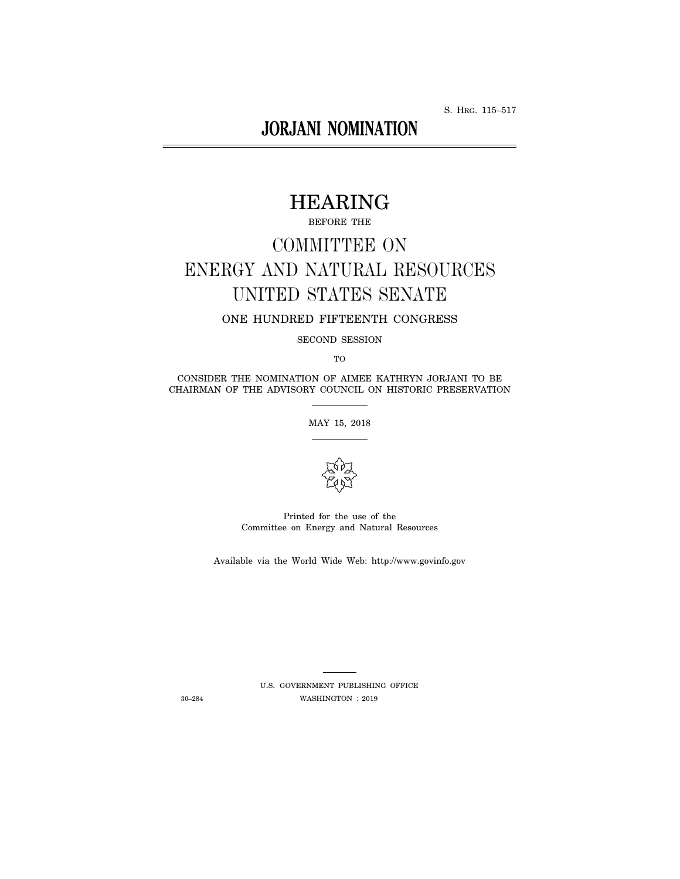S. HRG. 115–517

# **JORJANI NOMINATION**

# HEARING

BEFORE THE

# COMMITTEE ON ENERGY AND NATURAL RESOURCES UNITED STATES SENATE

ONE HUNDRED FIFTEENTH CONGRESS

SECOND SESSION

TO

CONSIDER THE NOMINATION OF AIMEE KATHRYN JORJANI TO BE CHAIRMAN OF THE ADVISORY COUNCIL ON HISTORIC PRESERVATION

MAY 15, 2018



Printed for the use of the Committee on Energy and Natural Resources

Available via the World Wide Web: http://www.govinfo.gov

U.S. GOVERNMENT PUBLISHING OFFICE 30–284 WASHINGTON : 2019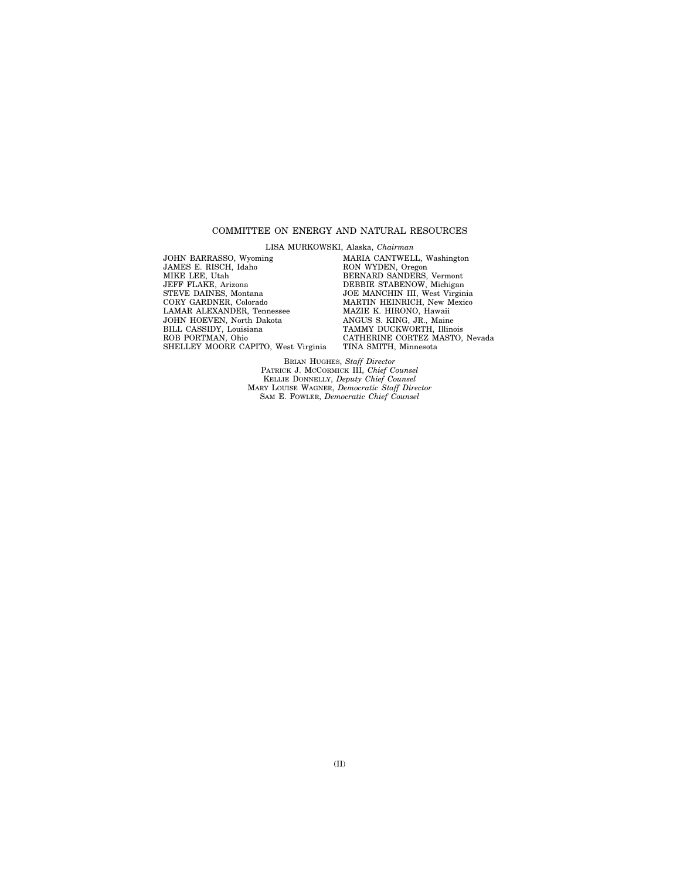#### COMMITTEE ON ENERGY AND NATURAL RESOURCES

LISA MURKOWSKI, Alaska, *Chairman* 

JOHN BARRASSO, Wyoming JAMES E. RISCH, Idaho MIKE LEE, Utah JEFF FLAKE, Arizona STEVE DAINES, Montana CORY GARDNER, Colorado LAMAR ALEXANDER, Tennessee JOHN HOEVEN, North Dakota BILL CASSIDY, Louisiana ROB PORTMAN, Ohio SHELLEY MOORE CAPITO, West Virginia MARIA CANTWELL, Washington RON WYDEN, Oregon BERNARD SANDERS, Vermont DEBBIE STABENOW, Michigan JOE MANCHIN III, West Virginia MARTIN HEINRICH, New Mexico MAZIE K. HIRONO, Hawaii ANGUS S. KING, JR., Maine TAMMY DUCKWORTH, Illinois CATHERINE CORTEZ MASTO, Nevada TINA SMITH, Minnesota

BRIAN HUGHES, *Staff Director*  PATRICK J. MCCORMICK III, *Chief Counsel*  KELLIE DONNELLY, *Deputy Chief Counsel*  MARY LOUISE WAGNER, *Democratic Staff Director*  SAM E. FOWLER, *Democratic Chief Counsel*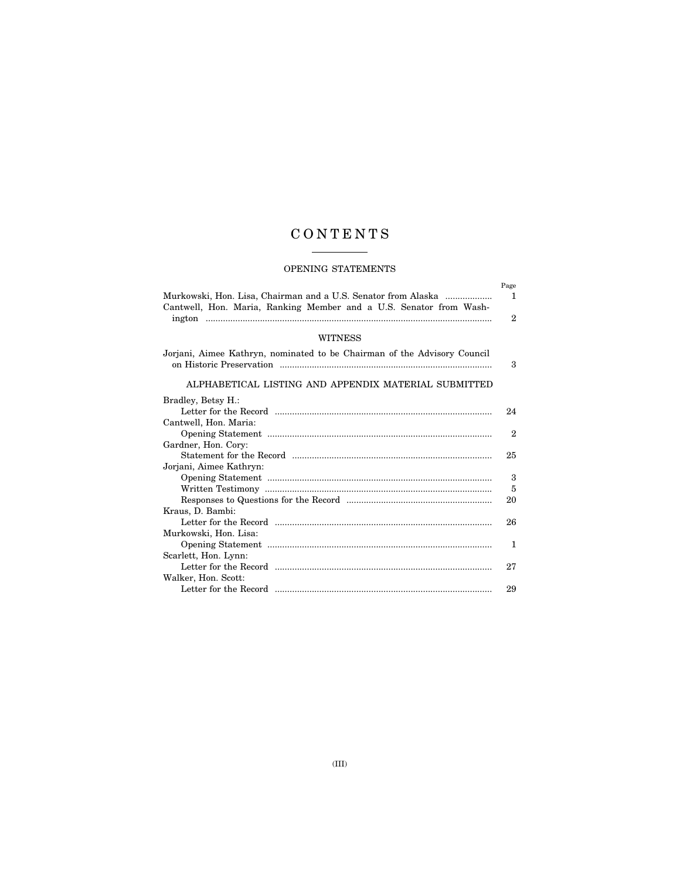## C O N T E N T S

### OPENING STATEMENTS

| Murkowski, Hon. Lisa, Chairman and a U.S. Senator from Alaska<br>Cantwell, Hon. Maria, Ranking Member and a U.S. Senator from Wash- | Page<br>1    |
|-------------------------------------------------------------------------------------------------------------------------------------|--------------|
|                                                                                                                                     | $\mathbf{2}$ |
| <b>WITNESS</b>                                                                                                                      |              |
| Jorjani, Aimee Kathryn, nominated to be Chairman of the Advisory Council                                                            | 3            |
| ALPHABETICAL LISTING AND APPENDIX MATERIAL SUBMITTED                                                                                |              |
| Bradley, Betsy H.:                                                                                                                  |              |
|                                                                                                                                     | 24           |
| Cantwell, Hon. Maria:                                                                                                               |              |
|                                                                                                                                     | 2            |
| Gardner, Hon. Cory:                                                                                                                 |              |
|                                                                                                                                     | 25           |
| Jorjani, Aimee Kathryn:                                                                                                             |              |
|                                                                                                                                     | 3            |
|                                                                                                                                     | 5            |
|                                                                                                                                     | 20           |
| Kraus, D. Bambi:                                                                                                                    |              |
|                                                                                                                                     | 26           |
| Murkowski, Hon. Lisa:                                                                                                               |              |
|                                                                                                                                     | 1            |
| Scarlett, Hon. Lynn:                                                                                                                |              |
|                                                                                                                                     | 27           |
| Walker, Hon. Scott:                                                                                                                 |              |
|                                                                                                                                     | 29           |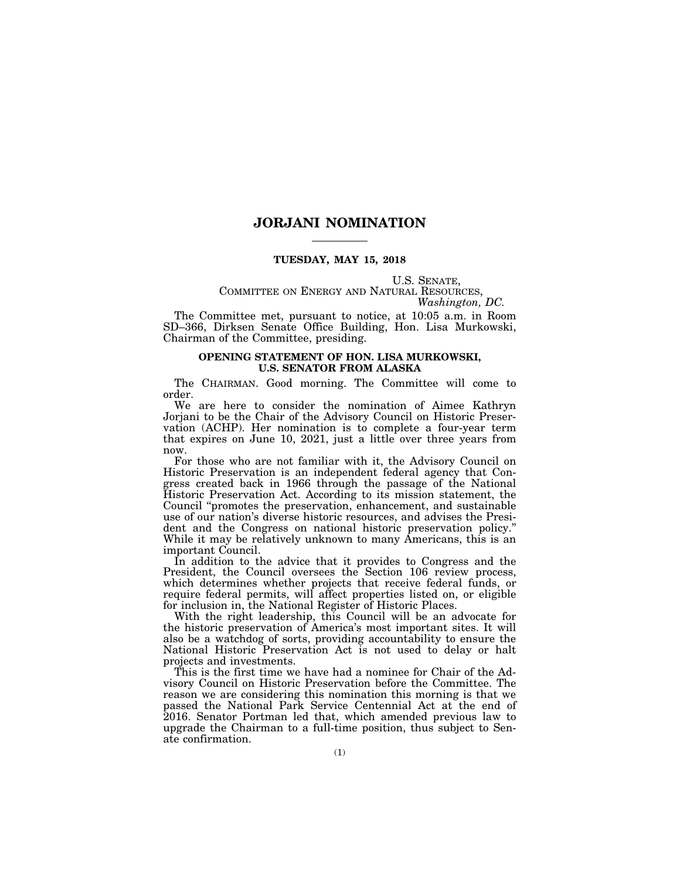#### **JORJANI NOMINATION**

#### **TUESDAY, MAY 15, 2018**

# U.S. SENATE,<br>COMMITTEE ON ENERGY AND NATURAL RESOURCES,<br>*Washington, DC.*

The Committee met, pursuant to notice, at 10:05 a.m. in Room SD–366, Dirksen Senate Office Building, Hon. Lisa Murkowski, Chairman of the Committee, presiding.

#### **OPENING STATEMENT OF HON. LISA MURKOWSKI, U.S. SENATOR FROM ALASKA**

The CHAIRMAN. Good morning. The Committee will come to order.

We are here to consider the nomination of Aimee Kathryn Jorjani to be the Chair of the Advisory Council on Historic Preservation (ACHP). Her nomination is to complete a four-year term that expires on June 10, 2021, just a little over three years from now.

For those who are not familiar with it, the Advisory Council on Historic Preservation is an independent federal agency that Congress created back in 1966 through the passage of the National Historic Preservation Act. According to its mission statement, the Council ''promotes the preservation, enhancement, and sustainable use of our nation's diverse historic resources, and advises the President and the Congress on national historic preservation policy.'' While it may be relatively unknown to many Americans, this is an important Council.

In addition to the advice that it provides to Congress and the President, the Council oversees the Section 106 review process, which determines whether projects that receive federal funds, or require federal permits, will affect properties listed on, or eligible for inclusion in, the National Register of Historic Places.

With the right leadership, this Council will be an advocate for the historic preservation of America's most important sites. It will also be a watchdog of sorts, providing accountability to ensure the National Historic Preservation Act is not used to delay or halt projects and investments.

This is the first time we have had a nominee for Chair of the Advisory Council on Historic Preservation before the Committee. The reason we are considering this nomination this morning is that we passed the National Park Service Centennial Act at the end of 2016. Senator Portman led that, which amended previous law to upgrade the Chairman to a full-time position, thus subject to Senate confirmation.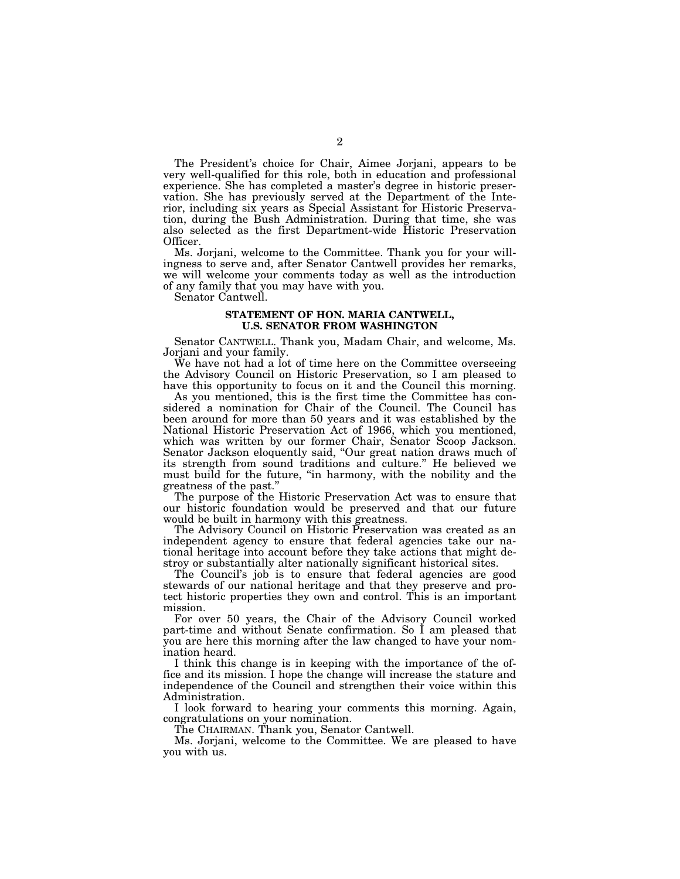The President's choice for Chair, Aimee Jorjani, appears to be very well-qualified for this role, both in education and professional experience. She has completed a master's degree in historic preservation. She has previously served at the Department of the Interior, including six years as Special Assistant for Historic Preservation, during the Bush Administration. During that time, she was also selected as the first Department-wide Historic Preservation Officer.

Ms. Jorjani, welcome to the Committee. Thank you for your willingness to serve and, after Senator Cantwell provides her remarks, we will welcome your comments today as well as the introduction of any family that you may have with you.

Senator Cantwell.

#### **STATEMENT OF HON. MARIA CANTWELL, U.S. SENATOR FROM WASHINGTON**

Senator CANTWELL. Thank you, Madam Chair, and welcome, Ms. Jorjani and your family.

We have not had a lot of time here on the Committee overseeing the Advisory Council on Historic Preservation, so I am pleased to have this opportunity to focus on it and the Council this morning.

As you mentioned, this is the first time the Committee has considered a nomination for Chair of the Council. The Council has been around for more than 50 years and it was established by the National Historic Preservation Act of 1966, which you mentioned, which was written by our former Chair, Senator Scoop Jackson. Senator Jackson eloquently said, "Our great nation draws much of its strength from sound traditions and culture.'' He believed we must build for the future, ''in harmony, with the nobility and the greatness of the past.

The purpose of the Historic Preservation Act was to ensure that our historic foundation would be preserved and that our future would be built in harmony with this greatness.

The Advisory Council on Historic Preservation was created as an independent agency to ensure that federal agencies take our national heritage into account before they take actions that might destroy or substantially alter nationally significant historical sites.

The Council's job is to ensure that federal agencies are good stewards of our national heritage and that they preserve and protect historic properties they own and control. This is an important mission.

For over 50 years, the Chair of the Advisory Council worked part-time and without Senate confirmation. So I am pleased that you are here this morning after the law changed to have your nomination heard.

I think this change is in keeping with the importance of the office and its mission. I hope the change will increase the stature and independence of the Council and strengthen their voice within this Administration.

I look forward to hearing your comments this morning. Again, congratulations on your nomination.

The CHAIRMAN. Thank you, Senator Cantwell.

Ms. Jorjani, welcome to the Committee. We are pleased to have you with us.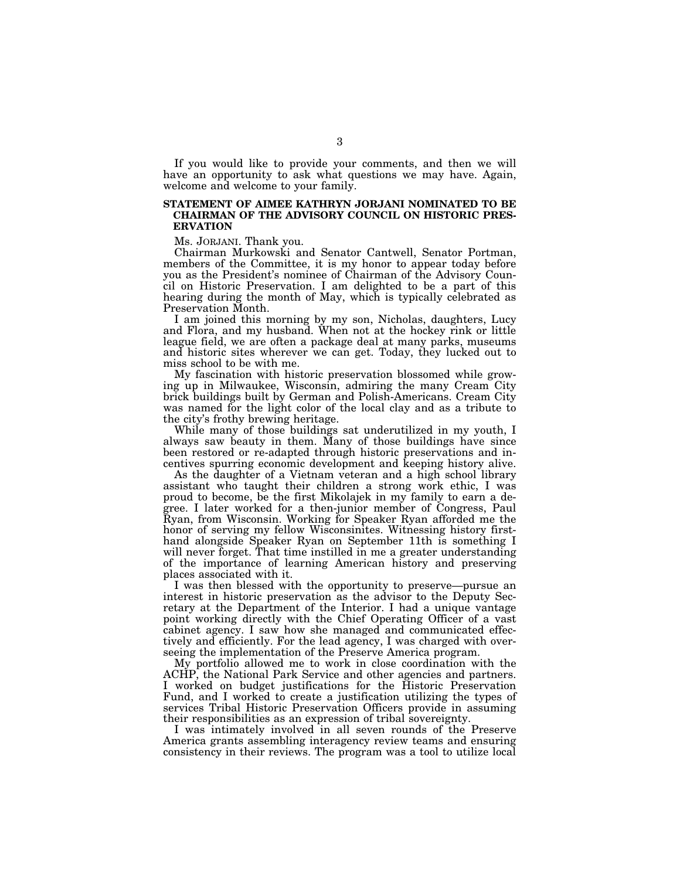If you would like to provide your comments, and then we will have an opportunity to ask what questions we may have. Again, welcome and welcome to your family.

#### **STATEMENT OF AIMEE KATHRYN JORJANI NOMINATED TO BE CHAIRMAN OF THE ADVISORY COUNCIL ON HISTORIC PRES-ERVATION**

Ms. JORJANI. Thank you.

Chairman Murkowski and Senator Cantwell, Senator Portman, members of the Committee, it is my honor to appear today before you as the President's nominee of Chairman of the Advisory Council on Historic Preservation. I am delighted to be a part of this hearing during the month of May, which is typically celebrated as Preservation Month.

I am joined this morning by my son, Nicholas, daughters, Lucy and Flora, and my husband. When not at the hockey rink or little league field, we are often a package deal at many parks, museums and historic sites wherever we can get. Today, they lucked out to miss school to be with me.

My fascination with historic preservation blossomed while growing up in Milwaukee, Wisconsin, admiring the many Cream City brick buildings built by German and Polish-Americans. Cream City was named for the light color of the local clay and as a tribute to the city's frothy brewing heritage.

While many of those buildings sat underutilized in my youth, I always saw beauty in them. Many of those buildings have since been restored or re-adapted through historic preservations and incentives spurring economic development and keeping history alive.

As the daughter of a Vietnam veteran and a high school library assistant who taught their children a strong work ethic, I was proud to become, be the first Mikolajek in my family to earn a degree. I later worked for a then-junior member of Congress, Paul Ryan, from Wisconsin. Working for Speaker Ryan afforded me the honor of serving my fellow Wisconsinites. Witnessing history firsthand alongside Speaker Ryan on September 11th is something I will never forget. That time instilled in me a greater understanding of the importance of learning American history and preserving places associated with it.

I was then blessed with the opportunity to preserve—pursue an interest in historic preservation as the advisor to the Deputy Secretary at the Department of the Interior. I had a unique vantage point working directly with the Chief Operating Officer of a vast cabinet agency. I saw how she managed and communicated effectively and efficiently. For the lead agency, I was charged with overseeing the implementation of the Preserve America program.

My portfolio allowed me to work in close coordination with the ACHP, the National Park Service and other agencies and partners. I worked on budget justifications for the Historic Preservation Fund, and I worked to create a justification utilizing the types of services Tribal Historic Preservation Officers provide in assuming their responsibilities as an expression of tribal sovereignty.

I was intimately involved in all seven rounds of the Preserve America grants assembling interagency review teams and ensuring consistency in their reviews. The program was a tool to utilize local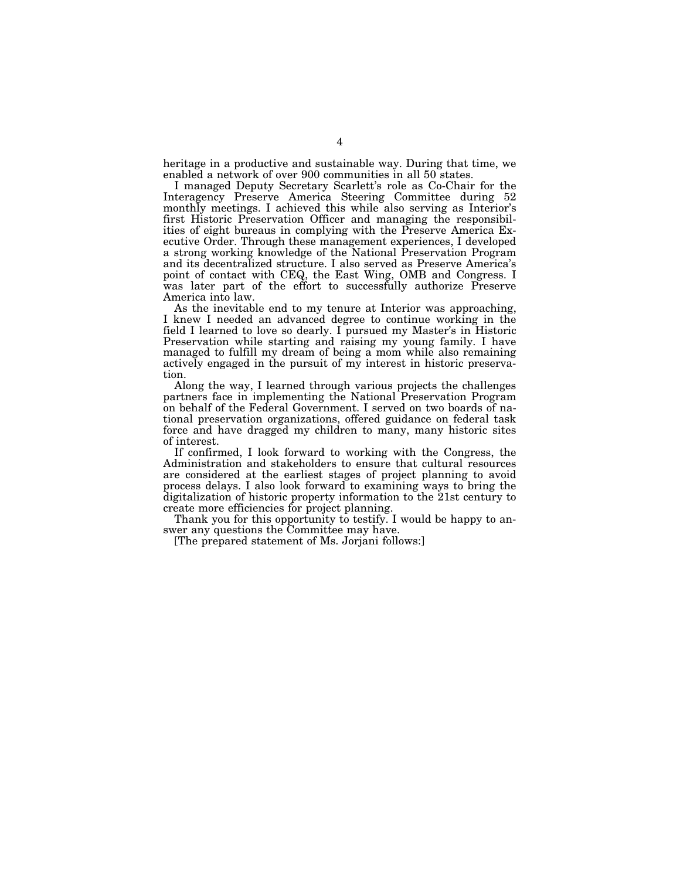heritage in a productive and sustainable way. During that time, we enabled a network of over 900 communities in all 50 states.

I managed Deputy Secretary Scarlett's role as Co-Chair for the Interagency Preserve America Steering Committee during 52 monthly meetings. I achieved this while also serving as Interior's first Historic Preservation Officer and managing the responsibilities of eight bureaus in complying with the Preserve America Executive Order. Through these management experiences, I developed a strong working knowledge of the National Preservation Program and its decentralized structure. I also served as Preserve America's point of contact with CEQ, the East Wing, OMB and Congress. I was later part of the effort to successfully authorize Preserve America into law.

As the inevitable end to my tenure at Interior was approaching, I knew I needed an advanced degree to continue working in the field I learned to love so dearly. I pursued my Master's in Historic Preservation while starting and raising my young family. I have managed to fulfill my dream of being a mom while also remaining actively engaged in the pursuit of my interest in historic preservation.

Along the way, I learned through various projects the challenges partners face in implementing the National Preservation Program on behalf of the Federal Government. I served on two boards of national preservation organizations, offered guidance on federal task force and have dragged my children to many, many historic sites of interest.

If confirmed, I look forward to working with the Congress, the Administration and stakeholders to ensure that cultural resources are considered at the earliest stages of project planning to avoid process delays. I also look forward to examining ways to bring the digitalization of historic property information to the 21st century to create more efficiencies for project planning.

Thank you for this opportunity to testify. I would be happy to answer any questions the Committee may have.

[The prepared statement of Ms. Jorjani follows:]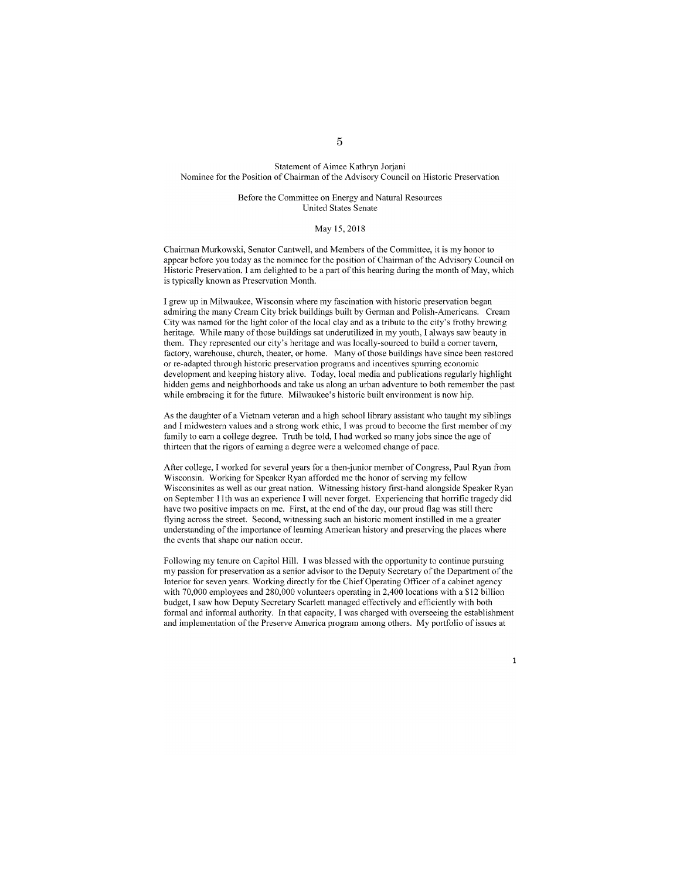#### Statement of Aimee Kathryn Jorjani Nominee for the Position of Chairman of the Advisory Council on Historic Preservation

#### Before the Committee on Energy and Natural Resources United States Senate

#### May 15,2018

Chairman Murkowski, Senator Cantwell, and Members of the Committee, it is my honor to appear before you today as the nominee for the position of Chairman of the Advisory Council on Historic Preservation. I am delighted to be a part of this hearing during the month of May, which is typically known as Preservation Month.

I grew up in Milwaukee, Wisconsin where my fascination with historic preservation began admiring the many Cream City brick buildings built by German and Polish-Americans. Cream City was named for the light color of the local clay and as a tribute to the city's frothy brewing heritage. While many of those buildings sat underutilized in my youth, I always saw beauty in them. They represented our city's heritage and was locally-sourced to build a corner tavern, factory, warehouse, church, theater, or home. Many of those buildings have since been restored or re-adapted through historic preservation programs and incentives spurring economic development and keeping history alive. Today, local media and publications regularly highlight hidden gems and neighborhoods and take us along an urban adventure to both remember the past while embracing it for the future. Milwaukee's historic built environment is now hip.

As the daughter of a Vietnam veteran and a high school library assistant who taught my siblings and 1 midwestern values and a strong work ethic, I was proud to become the first member of my family to earn a college degree. Truth be told, I had worked so many jobs since the age of thirteen that the rigors of earning a degree were a welcomed change of pace.

After college, I worked for several years for a then-junior member of Congress, Paul Ryan from Wisconsin. Working for Speaker Ryan afforded me the honor of serving my fellow Wisconsinites as well as our great nation. Witnessing history first-hand alongside Speaker Ryan on September 11th was an experience I will never forget. Experiencing that horrific tragedy did have two positive impacts on me. First, at the end of the day, our proud flag was still there flying across the street. Second, witnessing such an historic moment instilled in me a greater understanding of the importance of learning American history and preserving the places where the events that shape our nation occur.

Following my tenure on Capitol Hill. I was blessed with the opportunity to continue pursuing my passion tor preservation as a senior advisor to the Deputy Secretary of the Department of the Interior for seven years. Working directly for the Chief Operating Officer of a cabinet agency with 70,000 employees and 280,000 volunteers operating in 2,400 locations with a \$12 billion budget, I saw how Deputy Secretary Scarlett managed effectively and efliciently with both formal and informal authority. In that capacity, I was charged with overseeing the establishment and implementation of the Preserve America program among others. My portfolio of issues at

 $\overline{1}$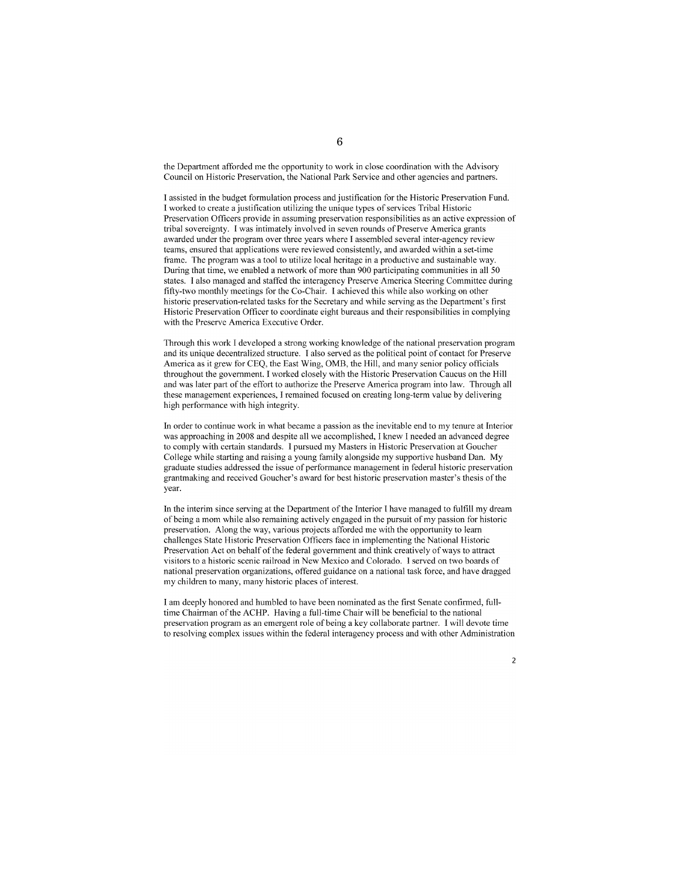the Department afforded me the opportunity to work in close coordination with the Advisory Council on Historic Preservation, the National Park Service and other agencies and partners.

1 assisted in the budget formulation process and justification for the Historic Preservation Fund. I worked to create a justification utilizing the unique types of services Tribal Historic Preservation Officers provide in assuming preservation responsibilities as an active expression of tribal sovereignty. I was intimately involved in seven rounds of Preserve America grants awarded under the program over three years where I assembled several inter-agency review teams, ensured that applications were reviewed consistently, and awarded within a set-time frame. The program was a tool to utilize local heritage in a productive and sustainable way. During that time, we enabled a network of more than 900 participating communities in all 50 states. l also managed and staffed the interagency Preserve America Steering Committee during fifty-two monthly meetings for the Co-Chair. I achieved this while also working on other historic preservation-related tasks for the Secretary and while serving as the Department's first Historic Preservation Officer to coordinate eight bureaus and their responsibilities in complying with the Preserve America Executive Order.

Through this work l developed a strong working knowledge of the national preservation program and its unique decentralized structure. I also served as the political point of contact for Preserve America as it grew for CEQ, the East Wing, OMB, the Hill, and many senior policy officials throughout the government. I worked closely with the Historic Preservation Caucus on the Hill and was later part of the effort to authorize the Preserve America program into law. Through all these management experiences, I remained focused on creating long-term value by delivering high performance with high integrity.

In order to continue work in what became a passion as the inevitable end to my tenure at Interior was approaching in 2008 and despite all we accomplished, I knew I needed an advanced degree to comply with certain standards. I pursued my Masters in Historic Preservation at Goucher College while starting and raising a young family alongside my supportive husband Dan. My graduate studies addressed the issue of performance management in federal historic preservation grantmaking and received Goucher's award for best historic preservation master's thesis of the year.

In the interim since serving at the Department of the Interior I have managed to fulfill my dream of being a mom while also remaining actively engaged in the pursuit of my passion for historic preservation. Along the way, various projects afforded me with the opportunity to learn challenges State Historic Preservation Officers face in implementing the National Historic Preservation Act on behalf of the federal government and think creatively of ways to attract visitors to a historic scenic railroad in New Mexico and Colorado. l served on two boards of national preservation organizations, offered guidance on a national task force, and have dragged my children to many, many historic places of interest.

l am deeply honored and humbled to have been nominated as the first Senate eon firmed, fulltime Chairman of the ACHP. Having a full-time Chair will be beneficial to the national preservation program as an emergent role of being a key collaborate partner. l will devote time to resolving complex issues within the federal interagency process and with other Administration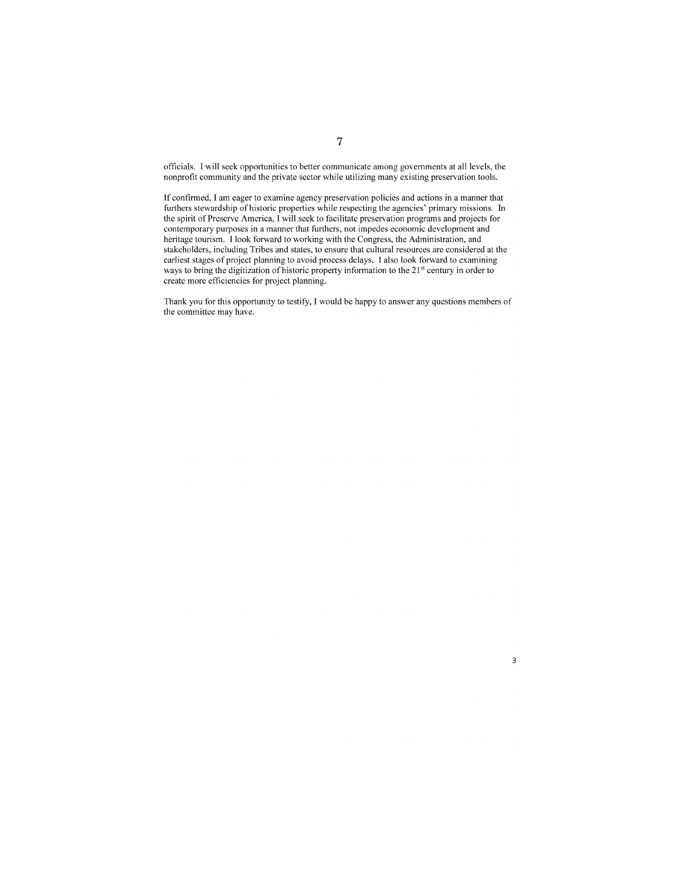officials. I will seek opportunities to better communicate among governments at all levels, the nonprofit community and the private sector while utilizing many existing preservation tools.

If confirmed, I am eager to examine agency preservation policies and actions in a manner that furthers stewardship of historic properties while respecting the agencies' primary missions. In the spirit of Preserve America, I will seek to facilitate preservation programs and projects for contemporary purposes in a manner that furthers, not impedes economic development and heritage tourism. I look forward to working with the Congress, the Administration, and stakeholders, including Tribes and states, to ensure that cultural resources are considered at the earliest stages of project planning to avoid process delays. I also look forward to examining ways to bring the digitization of historic property information to the 21<sup>st</sup> century in order to create more efficiencies for project planning.

Thank you for this opportunity to testify, I would be happy to answer any questions members of the committee may have.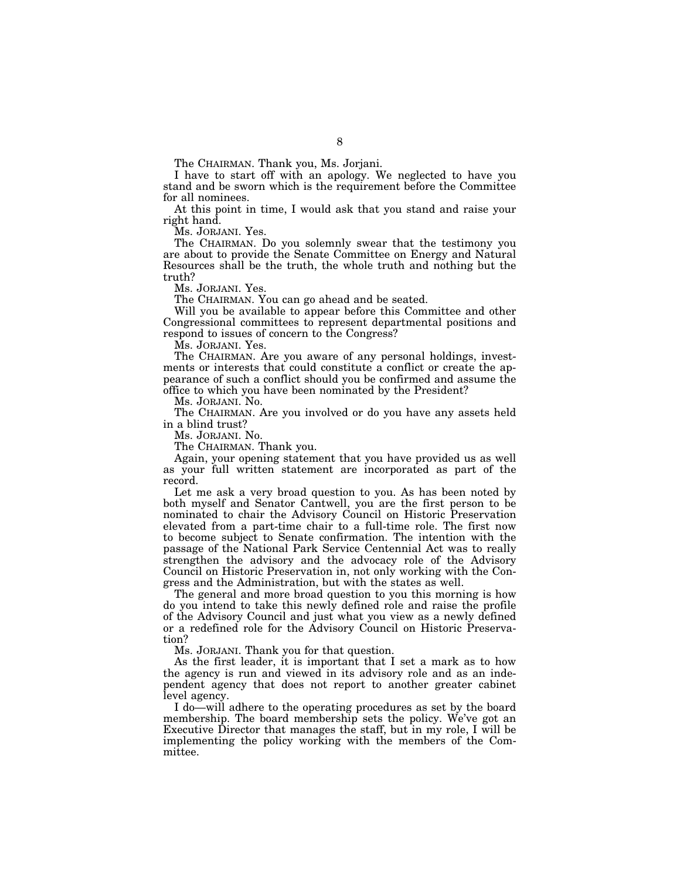The CHAIRMAN. Thank you, Ms. Jorjani.

I have to start off with an apology. We neglected to have you stand and be sworn which is the requirement before the Committee for all nominees.

At this point in time, I would ask that you stand and raise your right hand.

Ms. JORJANI. Yes.

The CHAIRMAN. Do you solemnly swear that the testimony you are about to provide the Senate Committee on Energy and Natural Resources shall be the truth, the whole truth and nothing but the truth?

Ms. JORJANI. Yes.

The CHAIRMAN. You can go ahead and be seated.

Will you be available to appear before this Committee and other Congressional committees to represent departmental positions and respond to issues of concern to the Congress?

Ms. JORJANI. Yes.

The CHAIRMAN. Are you aware of any personal holdings, investments or interests that could constitute a conflict or create the appearance of such a conflict should you be confirmed and assume the office to which you have been nominated by the President?

Ms. JORJANI. No.

The CHAIRMAN. Are you involved or do you have any assets held in a blind trust?

Ms. JORJANI. No.

The CHAIRMAN. Thank you.

Again, your opening statement that you have provided us as well as your full written statement are incorporated as part of the record.

Let me ask a very broad question to you. As has been noted by both myself and Senator Cantwell, you are the first person to be nominated to chair the Advisory Council on Historic Preservation elevated from a part-time chair to a full-time role. The first now to become subject to Senate confirmation. The intention with the passage of the National Park Service Centennial Act was to really strengthen the advisory and the advocacy role of the Advisory Council on Historic Preservation in, not only working with the Congress and the Administration, but with the states as well.

The general and more broad question to you this morning is how do you intend to take this newly defined role and raise the profile of the Advisory Council and just what you view as a newly defined or a redefined role for the Advisory Council on Historic Preservation?

Ms. JORJANI. Thank you for that question.

As the first leader, it is important that I set a mark as to how the agency is run and viewed in its advisory role and as an independent agency that does not report to another greater cabinet level agency.

I do—will adhere to the operating procedures as set by the board membership. The board membership sets the policy. We've got an Executive Director that manages the staff, but in my role, I will be implementing the policy working with the members of the Committee.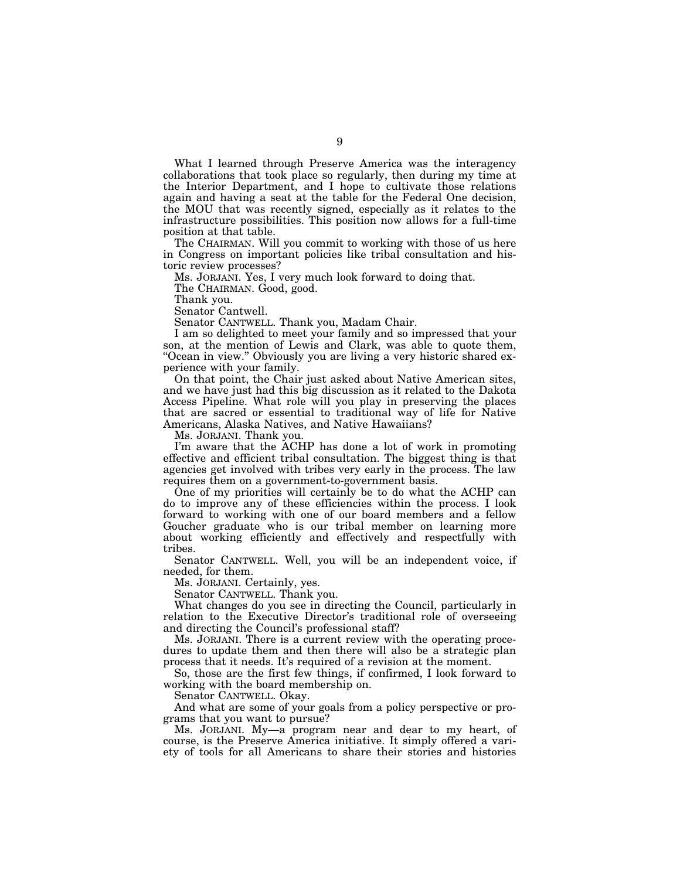What I learned through Preserve America was the interagency collaborations that took place so regularly, then during my time at the Interior Department, and I hope to cultivate those relations again and having a seat at the table for the Federal One decision, the MOU that was recently signed, especially as it relates to the infrastructure possibilities. This position now allows for a full-time position at that table.

The CHAIRMAN. Will you commit to working with those of us here in Congress on important policies like tribal consultation and historic review processes?

Ms. JORJANI. Yes, I very much look forward to doing that.

The CHAIRMAN. Good, good.

Thank you.

Senator Cantwell.

Senator CANTWELL. Thank you, Madam Chair.

I am so delighted to meet your family and so impressed that your son, at the mention of Lewis and Clark, was able to quote them, "Ocean in view." Obviously you are living a very historic shared experience with your family.

On that point, the Chair just asked about Native American sites, and we have just had this big discussion as it related to the Dakota Access Pipeline. What role will you play in preserving the places that are sacred or essential to traditional way of life for Native Americans, Alaska Natives, and Native Hawaiians?

Ms. JORJANI. Thank you.

I'm aware that the ACHP has done a lot of work in promoting effective and efficient tribal consultation. The biggest thing is that agencies get involved with tribes very early in the process. The law requires them on a government-to-government basis.

One of my priorities will certainly be to do what the ACHP can do to improve any of these efficiencies within the process. I look forward to working with one of our board members and a fellow Goucher graduate who is our tribal member on learning more about working efficiently and effectively and respectfully with tribes.

Senator CANTWELL. Well, you will be an independent voice, if needed, for them.

Ms. JORJANI. Certainly, yes.

Senator CANTWELL. Thank you.

What changes do you see in directing the Council, particularly in relation to the Executive Director's traditional role of overseeing and directing the Council's professional staff?

Ms. JORJANI. There is a current review with the operating procedures to update them and then there will also be a strategic plan process that it needs. It's required of a revision at the moment.

So, those are the first few things, if confirmed, I look forward to working with the board membership on.

Senator CANTWELL. Okay.

And what are some of your goals from a policy perspective or programs that you want to pursue?

Ms. JORJANI. My—a program near and dear to my heart, of course, is the Preserve America initiative. It simply offered a variety of tools for all Americans to share their stories and histories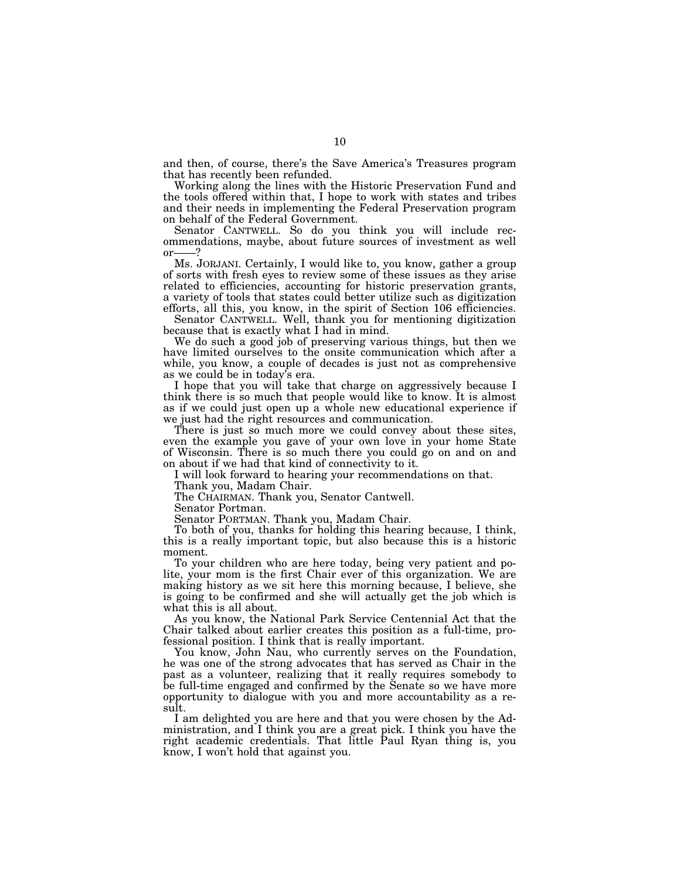and then, of course, there's the Save America's Treasures program that has recently been refunded.

Working along the lines with the Historic Preservation Fund and the tools offered within that, I hope to work with states and tribes and their needs in implementing the Federal Preservation program on behalf of the Federal Government.

Senator CANTWELL. So do you think you will include recommendations, maybe, about future sources of investment as well or-

Ms. JORJANI. Certainly, I would like to, you know, gather a group of sorts with fresh eyes to review some of these issues as they arise related to efficiencies, accounting for historic preservation grants, a variety of tools that states could better utilize such as digitization efforts, all this, you know, in the spirit of Section 106 efficiencies.

Senator CANTWELL. Well, thank you for mentioning digitization because that is exactly what I had in mind.

We do such a good job of preserving various things, but then we have limited ourselves to the onsite communication which after a while, you know, a couple of decades is just not as comprehensive as we could be in today's era.

I hope that you will take that charge on aggressively because I think there is so much that people would like to know. It is almost as if we could just open up a whole new educational experience if we just had the right resources and communication.

There is just so much more we could convey about these sites, even the example you gave of your own love in your home State of Wisconsin. There is so much there you could go on and on and on about if we had that kind of connectivity to it.

I will look forward to hearing your recommendations on that.

Thank you, Madam Chair.

The CHAIRMAN. Thank you, Senator Cantwell.

Senator Portman.

Senator PORTMAN. Thank you, Madam Chair.

To both of you, thanks for holding this hearing because, I think, this is a really important topic, but also because this is a historic moment.

To your children who are here today, being very patient and polite, your mom is the first Chair ever of this organization. We are making history as we sit here this morning because, I believe, she is going to be confirmed and she will actually get the job which is what this is all about.

As you know, the National Park Service Centennial Act that the Chair talked about earlier creates this position as a full-time, professional position. I think that is really important.

You know, John Nau, who currently serves on the Foundation, he was one of the strong advocates that has served as Chair in the past as a volunteer, realizing that it really requires somebody to be full-time engaged and confirmed by the Senate so we have more opportunity to dialogue with you and more accountability as a result.

I am delighted you are here and that you were chosen by the Administration, and I think you are a great pick. I think you have the right academic credentials. That little Paul Ryan thing is, you know, I won't hold that against you.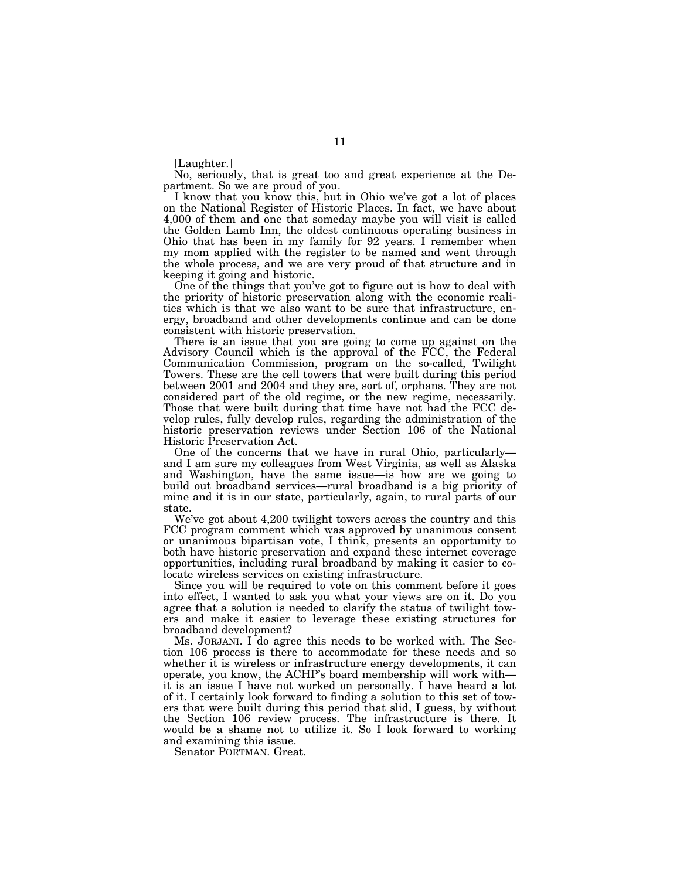[Laughter.]

No, seriously, that is great too and great experience at the Department. So we are proud of you.

I know that you know this, but in Ohio we've got a lot of places on the National Register of Historic Places. In fact, we have about 4,000 of them and one that someday maybe you will visit is called the Golden Lamb Inn, the oldest continuous operating business in Ohio that has been in my family for 92 years. I remember when my mom applied with the register to be named and went through the whole process, and we are very proud of that structure and in keeping it going and historic.

One of the things that you've got to figure out is how to deal with the priority of historic preservation along with the economic realities which is that we also want to be sure that infrastructure, energy, broadband and other developments continue and can be done consistent with historic preservation.

There is an issue that you are going to come up against on the Advisory Council which is the approval of the FCC, the Federal Communication Commission, program on the so-called, Twilight Towers. These are the cell towers that were built during this period between 2001 and 2004 and they are, sort of, orphans. They are not considered part of the old regime, or the new regime, necessarily. Those that were built during that time have not had the FCC develop rules, fully develop rules, regarding the administration of the historic preservation reviews under Section 106 of the National Historic Preservation Act.

One of the concerns that we have in rural Ohio, particularly and I am sure my colleagues from West Virginia, as well as Alaska and Washington, have the same issue—is how are we going to build out broadband services—rural broadband is a big priority of mine and it is in our state, particularly, again, to rural parts of our state.

We've got about 4,200 twilight towers across the country and this FCC program comment which was approved by unanimous consent or unanimous bipartisan vote, I think, presents an opportunity to both have historic preservation and expand these internet coverage opportunities, including rural broadband by making it easier to colocate wireless services on existing infrastructure.

Since you will be required to vote on this comment before it goes into effect, I wanted to ask you what your views are on it. Do you agree that a solution is needed to clarify the status of twilight towers and make it easier to leverage these existing structures for broadband development?

Ms. JORJANI. I do agree this needs to be worked with. The Section 106 process is there to accommodate for these needs and so whether it is wireless or infrastructure energy developments, it can operate, you know, the ACHP's board membership will work with it is an issue I have not worked on personally. I have heard a lot of it. I certainly look forward to finding a solution to this set of towers that were built during this period that slid, I guess, by without the Section 106 review process. The infrastructure is there. It would be a shame not to utilize it. So I look forward to working and examining this issue.

Senator PORTMAN. Great.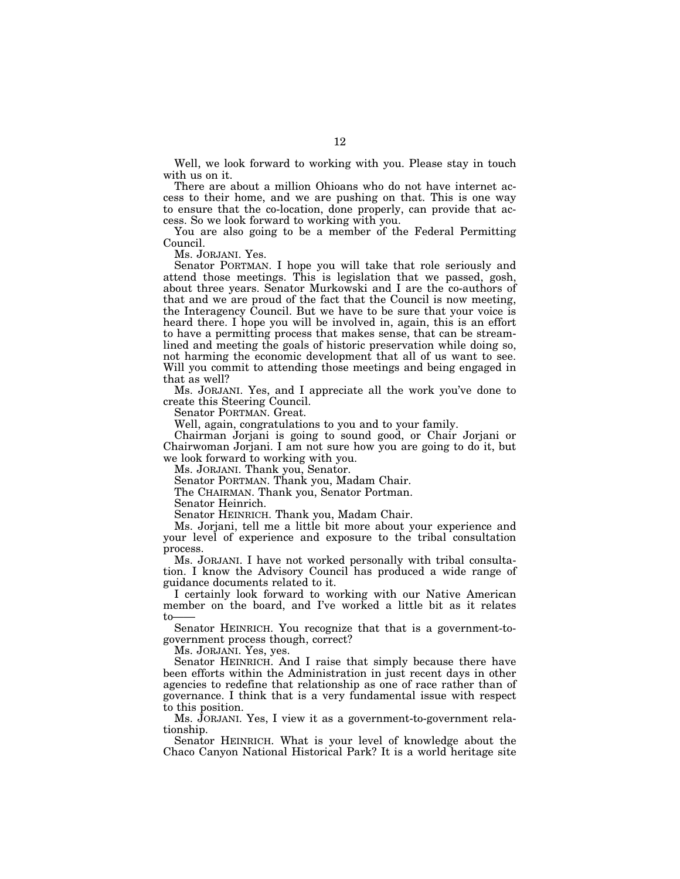Well, we look forward to working with you. Please stay in touch with us on it.

There are about a million Ohioans who do not have internet access to their home, and we are pushing on that. This is one way to ensure that the co-location, done properly, can provide that access. So we look forward to working with you.

You are also going to be a member of the Federal Permitting Council.

Ms. JORJANI. Yes.

Senator PORTMAN. I hope you will take that role seriously and attend those meetings. This is legislation that we passed, gosh, about three years. Senator Murkowski and I are the co-authors of that and we are proud of the fact that the Council is now meeting, the Interagency Council. But we have to be sure that your voice is heard there. I hope you will be involved in, again, this is an effort to have a permitting process that makes sense, that can be streamlined and meeting the goals of historic preservation while doing so, not harming the economic development that all of us want to see. Will you commit to attending those meetings and being engaged in that as well?

Ms. JORJANI. Yes, and I appreciate all the work you've done to create this Steering Council.

Senator PORTMAN. Great.

Well, again, congratulations to you and to your family.

Chairman Jorjani is going to sound good, or Chair Jorjani or Chairwoman Jorjani. I am not sure how you are going to do it, but we look forward to working with you.

Ms. JORJANI. Thank you, Senator.

Senator PORTMAN. Thank you, Madam Chair.

The CHAIRMAN. Thank you, Senator Portman.

Senator Heinrich.

Senator HEINRICH. Thank you, Madam Chair.

Ms. Jorjani, tell me a little bit more about your experience and your level of experience and exposure to the tribal consultation process.

Ms. JORJANI. I have not worked personally with tribal consultation. I know the Advisory Council has produced a wide range of guidance documents related to it.

I certainly look forward to working with our Native American member on the board, and I've worked a little bit as it relates  $t_{0}$ 

Senator HEINRICH. You recognize that that is a government-togovernment process though, correct?

Ms. JORJANI. Yes, yes.

Senator HEINRICH. And I raise that simply because there have been efforts within the Administration in just recent days in other agencies to redefine that relationship as one of race rather than of governance. I think that is a very fundamental issue with respect to this position.

Ms. JORJANI. Yes, I view it as a government-to-government relationship.

Senator HEINRICH. What is your level of knowledge about the Chaco Canyon National Historical Park? It is a world heritage site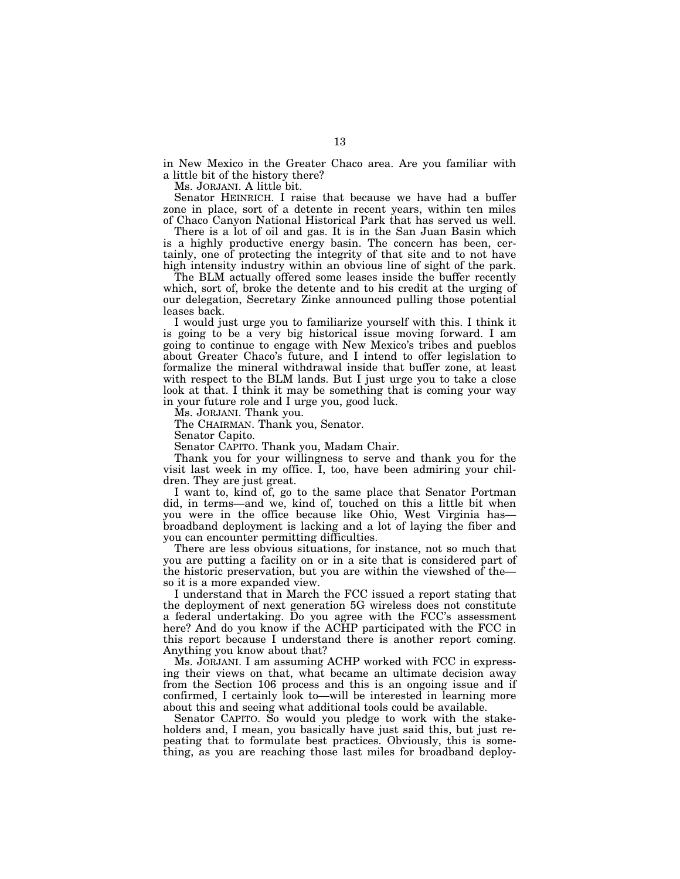in New Mexico in the Greater Chaco area. Are you familiar with a little bit of the history there?

Ms. JORJANI. A little bit.

Senator HEINRICH. I raise that because we have had a buffer zone in place, sort of a detente in recent years, within ten miles of Chaco Canyon National Historical Park that has served us well.

There is a lot of oil and gas. It is in the San Juan Basin which is a highly productive energy basin. The concern has been, certainly, one of protecting the integrity of that site and to not have high intensity industry within an obvious line of sight of the park.

The BLM actually offered some leases inside the buffer recently which, sort of, broke the detente and to his credit at the urging of our delegation, Secretary Zinke announced pulling those potential leases back.

I would just urge you to familiarize yourself with this. I think it is going to be a very big historical issue moving forward. I am going to continue to engage with New Mexico's tribes and pueblos about Greater Chaco's future, and I intend to offer legislation to formalize the mineral withdrawal inside that buffer zone, at least with respect to the BLM lands. But I just urge you to take a close look at that. I think it may be something that is coming your way in your future role and I urge you, good luck.

Ms. JORJANI. Thank you.

The CHAIRMAN. Thank you, Senator.

Senator Capito.

Senator CAPITO. Thank you, Madam Chair.

Thank you for your willingness to serve and thank you for the visit last week in my office. I, too, have been admiring your children. They are just great.

I want to, kind of, go to the same place that Senator Portman did, in terms—and we, kind of, touched on this a little bit when you were in the office because like Ohio, West Virginia has broadband deployment is lacking and a lot of laying the fiber and you can encounter permitting difficulties.

There are less obvious situations, for instance, not so much that you are putting a facility on or in a site that is considered part of the historic preservation, but you are within the viewshed of the so it is a more expanded view.

I understand that in March the FCC issued a report stating that the deployment of next generation 5G wireless does not constitute a federal undertaking. Do you agree with the FCC's assessment here? And do you know if the ACHP participated with the FCC in this report because I understand there is another report coming. Anything you know about that?

Ms. JORJANI. I am assuming ACHP worked with FCC in expressing their views on that, what became an ultimate decision away from the Section 106 process and this is an ongoing issue and if confirmed, I certainly look to—will be interested in learning more about this and seeing what additional tools could be available.

Senator CAPITO. So would you pledge to work with the stakeholders and, I mean, you basically have just said this, but just repeating that to formulate best practices. Obviously, this is something, as you are reaching those last miles for broadband deploy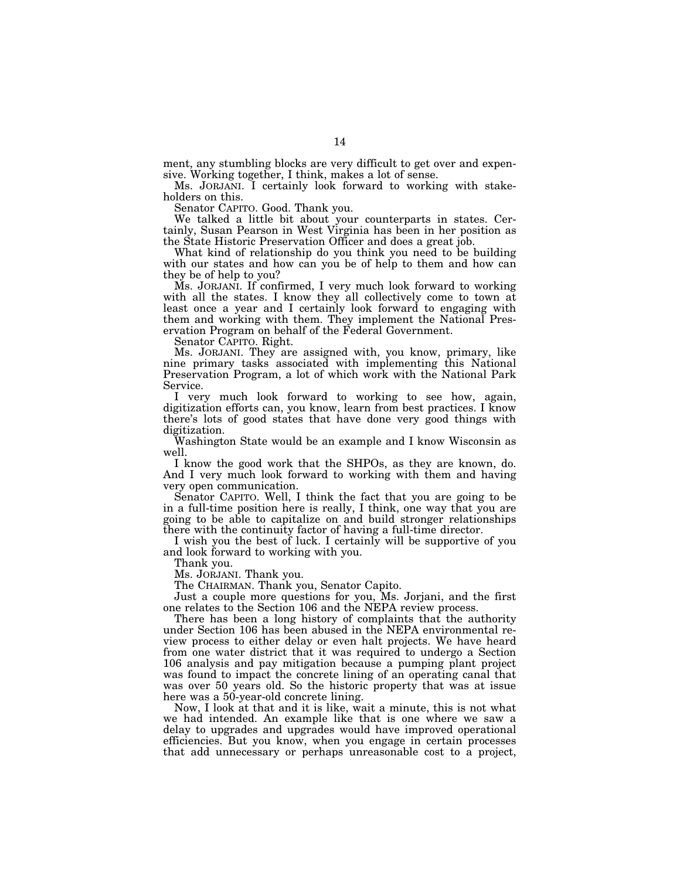ment, any stumbling blocks are very difficult to get over and expensive. Working together, I think, makes a lot of sense.

Ms. JORJANI. I certainly look forward to working with stakeholders on this.

Senator CAPITO. Good. Thank you.

We talked a little bit about your counterparts in states. Certainly, Susan Pearson in West Virginia has been in her position as the State Historic Preservation Officer and does a great job.

What kind of relationship do you think you need to be building with our states and how can you be of help to them and how can they be of help to you?

Ms. JORJANI. If confirmed, I very much look forward to working with all the states. I know they all collectively come to town at least once a year and I certainly look forward to engaging with them and working with them. They implement the National Preservation Program on behalf of the Federal Government.

Senator CAPITO. Right.

Ms. JORJANI. They are assigned with, you know, primary, like nine primary tasks associated with implementing this National Preservation Program, a lot of which work with the National Park Service.

I very much look forward to working to see how, again, digitization efforts can, you know, learn from best practices. I know there's lots of good states that have done very good things with digitization.

Washington State would be an example and I know Wisconsin as well.

I know the good work that the SHPOs, as they are known, do. And I very much look forward to working with them and having very open communication.

Senator CAPITO. Well, I think the fact that you are going to be in a full-time position here is really, I think, one way that you are going to be able to capitalize on and build stronger relationships there with the continuity factor of having a full-time director.

I wish you the best of luck. I certainly will be supportive of you and look forward to working with you.

Thank you.

Ms. JORJANI. Thank you.

The CHAIRMAN. Thank you, Senator Capito.

Just a couple more questions for you, Ms. Jorjani, and the first one relates to the Section 106 and the NEPA review process.

There has been a long history of complaints that the authority under Section 106 has been abused in the NEPA environmental review process to either delay or even halt projects. We have heard from one water district that it was required to undergo a Section 106 analysis and pay mitigation because a pumping plant project was found to impact the concrete lining of an operating canal that was over 50 years old. So the historic property that was at issue here was a 50-year-old concrete lining.

Now, I look at that and it is like, wait a minute, this is not what we had intended. An example like that is one where we saw a delay to upgrades and upgrades would have improved operational efficiencies. But you know, when you engage in certain processes that add unnecessary or perhaps unreasonable cost to a project,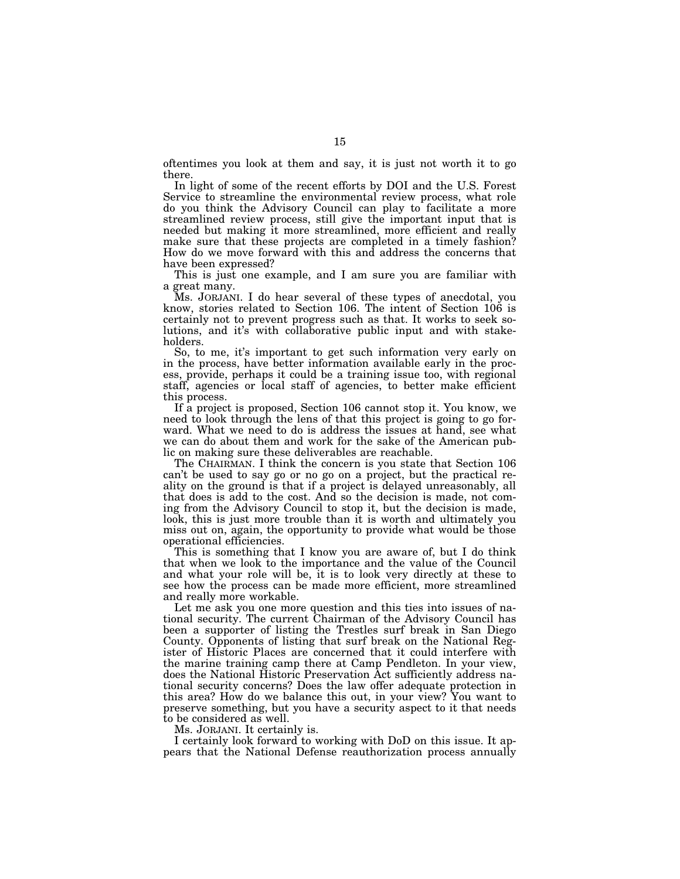oftentimes you look at them and say, it is just not worth it to go there.

In light of some of the recent efforts by DOI and the U.S. Forest Service to streamline the environmental review process, what role do you think the Advisory Council can play to facilitate a more streamlined review process, still give the important input that is needed but making it more streamlined, more efficient and really make sure that these projects are completed in a timely fashion? How do we move forward with this and address the concerns that have been expressed?

This is just one example, and I am sure you are familiar with a great many.

Ms. JORJANI. I do hear several of these types of anecdotal, you know, stories related to Section 106. The intent of Section 106 is certainly not to prevent progress such as that. It works to seek solutions, and it's with collaborative public input and with stakeholders.

So, to me, it's important to get such information very early on in the process, have better information available early in the process, provide, perhaps it could be a training issue too, with regional staff, agencies or local staff of agencies, to better make efficient this process.

If a project is proposed, Section 106 cannot stop it. You know, we need to look through the lens of that this project is going to go forward. What we need to do is address the issues at hand, see what we can do about them and work for the sake of the American public on making sure these deliverables are reachable.

The CHAIRMAN. I think the concern is you state that Section 106 can't be used to say go or no go on a project, but the practical reality on the ground is that if a project is delayed unreasonably, all that does is add to the cost. And so the decision is made, not coming from the Advisory Council to stop it, but the decision is made, look, this is just more trouble than it is worth and ultimately you miss out on, again, the opportunity to provide what would be those operational efficiencies.

This is something that I know you are aware of, but I do think that when we look to the importance and the value of the Council and what your role will be, it is to look very directly at these to see how the process can be made more efficient, more streamlined and really more workable.

Let me ask you one more question and this ties into issues of national security. The current Chairman of the Advisory Council has been a supporter of listing the Trestles surf break in San Diego County. Opponents of listing that surf break on the National Register of Historic Places are concerned that it could interfere with the marine training camp there at Camp Pendleton. In your view, does the National Historic Preservation Act sufficiently address national security concerns? Does the law offer adequate protection in this area? How do we balance this out, in your view? You want to preserve something, but you have a security aspect to it that needs to be considered as well.

Ms. JORJANI. It certainly is.

I certainly look forward to working with DoD on this issue. It appears that the National Defense reauthorization process annually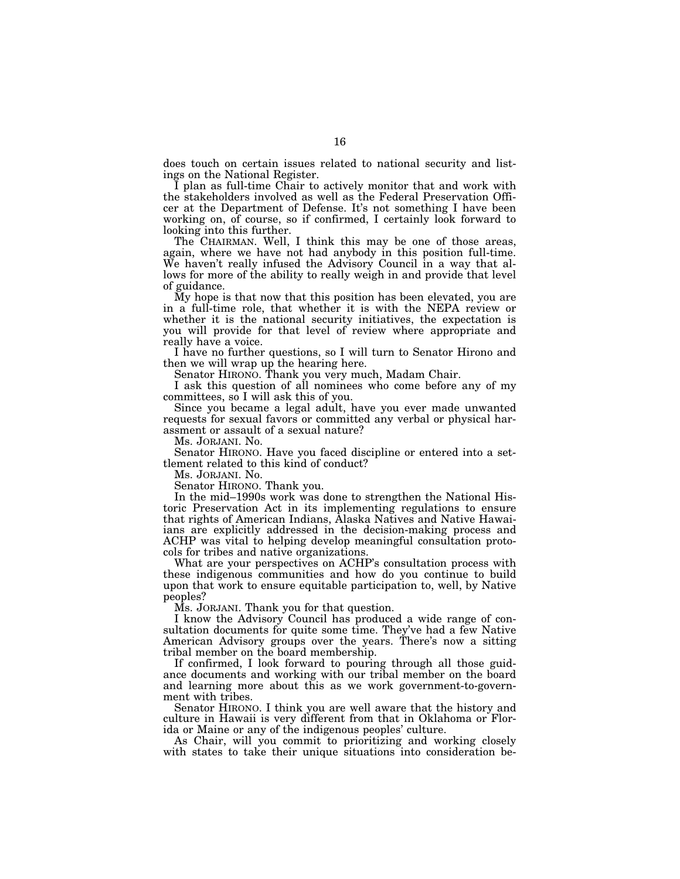does touch on certain issues related to national security and listings on the National Register.

I plan as full-time Chair to actively monitor that and work with the stakeholders involved as well as the Federal Preservation Officer at the Department of Defense. It's not something I have been working on, of course, so if confirmed, I certainly look forward to looking into this further.

The CHAIRMAN. Well, I think this may be one of those areas, again, where we have not had anybody in this position full-time. We haven't really infused the Advisory Council in a way that allows for more of the ability to really weigh in and provide that level of guidance.

My hope is that now that this position has been elevated, you are in a full-time role, that whether it is with the NEPA review or whether it is the national security initiatives, the expectation is you will provide for that level of review where appropriate and really have a voice.

I have no further questions, so I will turn to Senator Hirono and then we will wrap up the hearing here.

Senator HIRONO. Thank you very much, Madam Chair.

I ask this question of all nominees who come before any of my committees, so I will ask this of you.

Since you became a legal adult, have you ever made unwanted requests for sexual favors or committed any verbal or physical harassment or assault of a sexual nature?

Ms. JORJANI. No.

Senator HIRONO. Have you faced discipline or entered into a settlement related to this kind of conduct?

Ms. JORJANI. No.

Senator HIRONO. Thank you.

In the mid–1990s work was done to strengthen the National Historic Preservation Act in its implementing regulations to ensure that rights of American Indians, Alaska Natives and Native Hawaiians are explicitly addressed in the decision-making process and ACHP was vital to helping develop meaningful consultation protocols for tribes and native organizations.

What are your perspectives on ACHP's consultation process with these indigenous communities and how do you continue to build upon that work to ensure equitable participation to, well, by Native peoples?

Ms. JORJANI. Thank you for that question.

I know the Advisory Council has produced a wide range of consultation documents for quite some time. They've had a few Native American Advisory groups over the years. There's now a sitting tribal member on the board membership.

If confirmed, I look forward to pouring through all those guidance documents and working with our tribal member on the board and learning more about this as we work government-to-government with tribes.

Senator HIRONO. I think you are well aware that the history and culture in Hawaii is very different from that in Oklahoma or Florida or Maine or any of the indigenous peoples' culture.

As Chair, will you commit to prioritizing and working closely with states to take their unique situations into consideration be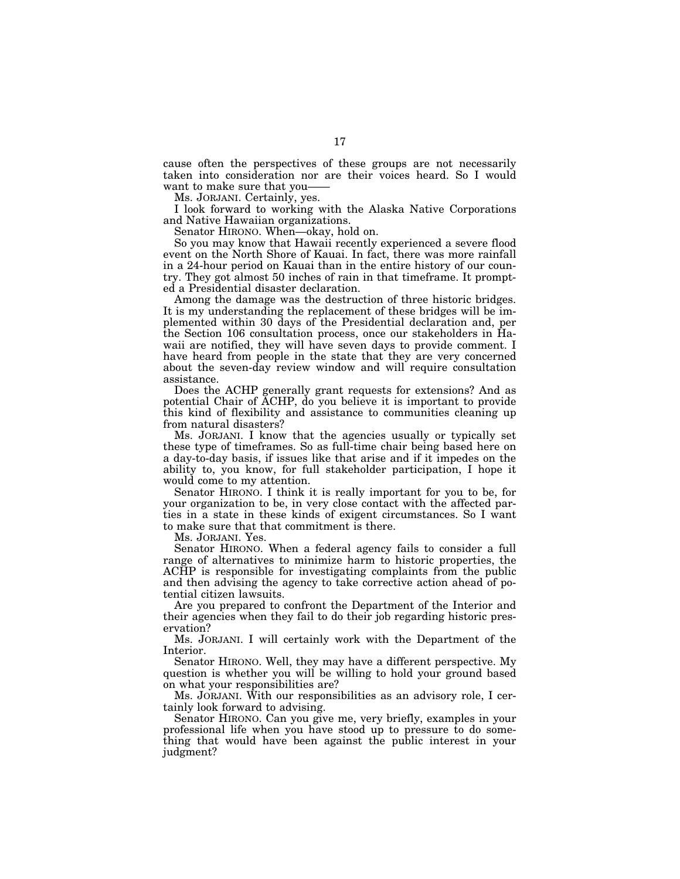cause often the perspectives of these groups are not necessarily taken into consideration nor are their voices heard. So I would want to make sure that you-

Ms. JORJANI. Certainly, yes.

I look forward to working with the Alaska Native Corporations and Native Hawaiian organizations.

Senator HIRONO. When—okay, hold on.

So you may know that Hawaii recently experienced a severe flood event on the North Shore of Kauai. In fact, there was more rainfall in a 24-hour period on Kauai than in the entire history of our country. They got almost 50 inches of rain in that timeframe. It prompted a Presidential disaster declaration.

Among the damage was the destruction of three historic bridges. It is my understanding the replacement of these bridges will be implemented within 30 days of the Presidential declaration and, per the Section 106 consultation process, once our stakeholders in Hawaii are notified, they will have seven days to provide comment. I have heard from people in the state that they are very concerned about the seven-day review window and will require consultation assistance.

Does the ACHP generally grant requests for extensions? And as potential Chair of ACHP, do you believe it is important to provide this kind of flexibility and assistance to communities cleaning up from natural disasters?

Ms. JORJANI. I know that the agencies usually or typically set these type of timeframes. So as full-time chair being based here on a day-to-day basis, if issues like that arise and if it impedes on the ability to, you know, for full stakeholder participation, I hope it would come to my attention.

Senator HIRONO. I think it is really important for you to be, for your organization to be, in very close contact with the affected parties in a state in these kinds of exigent circumstances. So I want to make sure that that commitment is there.

Ms. JORJANI. Yes.

Senator HIRONO. When a federal agency fails to consider a full range of alternatives to minimize harm to historic properties, the ACHP is responsible for investigating complaints from the public and then advising the agency to take corrective action ahead of potential citizen lawsuits.

Are you prepared to confront the Department of the Interior and their agencies when they fail to do their job regarding historic preservation?

Ms. JORJANI. I will certainly work with the Department of the Interior.

Senator HIRONO. Well, they may have a different perspective. My question is whether you will be willing to hold your ground based on what your responsibilities are?

Ms. JORJANI. With our responsibilities as an advisory role, I certainly look forward to advising.

Senator HIRONO. Can you give me, very briefly, examples in your professional life when you have stood up to pressure to do something that would have been against the public interest in your judgment?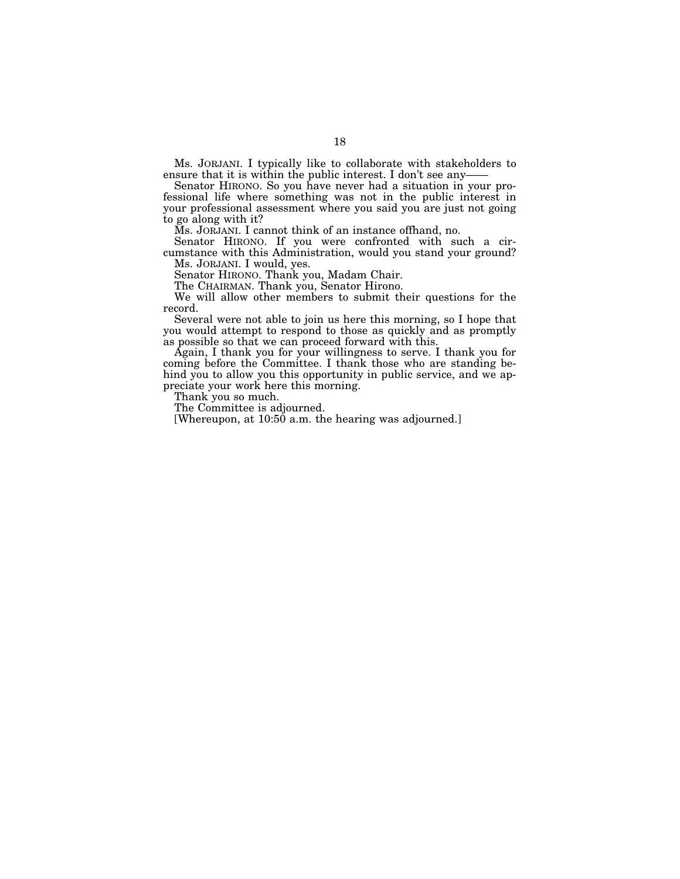Ms. JORJANI. I typically like to collaborate with stakeholders to ensure that it is within the public interest. I don't see any-

Senator HIRONO. So you have never had a situation in your professional life where something was not in the public interest in your professional assessment where you said you are just not going to go along with it?

Ms. JORJANI. I cannot think of an instance offhand, no.

Senator HIRONO. If you were confronted with such a circumstance with this Administration, would you stand your ground? Ms. JORJANI. I would, yes.

Senator HIRONO. Thank you, Madam Chair.

The CHAIRMAN. Thank you, Senator Hirono.

We will allow other members to submit their questions for the record.

Several were not able to join us here this morning, so I hope that you would attempt to respond to those as quickly and as promptly as possible so that we can proceed forward with this.

Again, I thank you for your willingness to serve. I thank you for coming before the Committee. I thank those who are standing behind you to allow you this opportunity in public service, and we appreciate your work here this morning.

Thank you so much.

The Committee is adjourned.

[Whereupon, at 10:50 a.m. the hearing was adjourned.]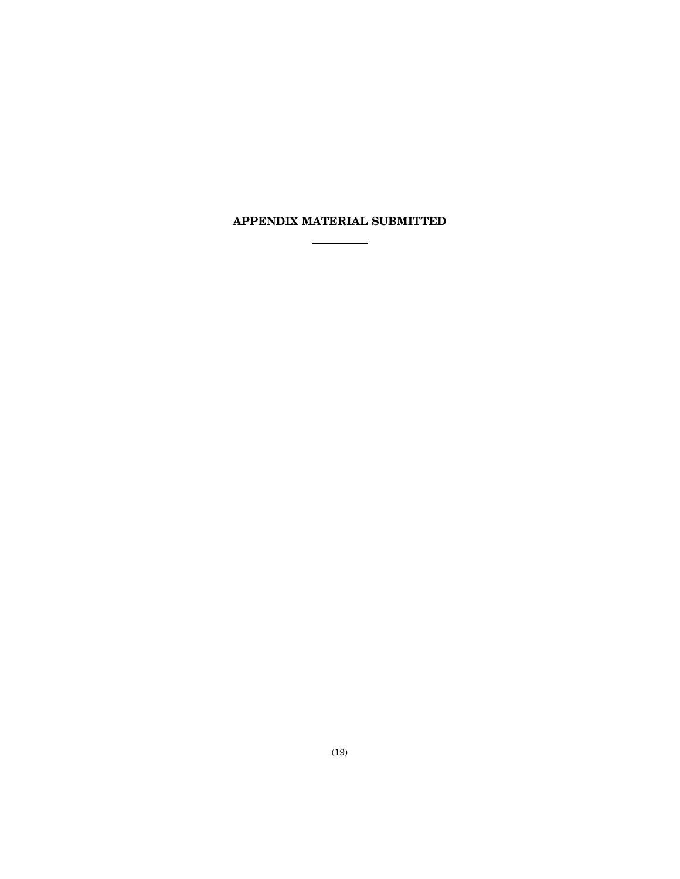## **APPENDIX MATERIAL SUBMITTED**  $\frac{1}{\sqrt{2}}$  and  $\frac{1}{\sqrt{2}}$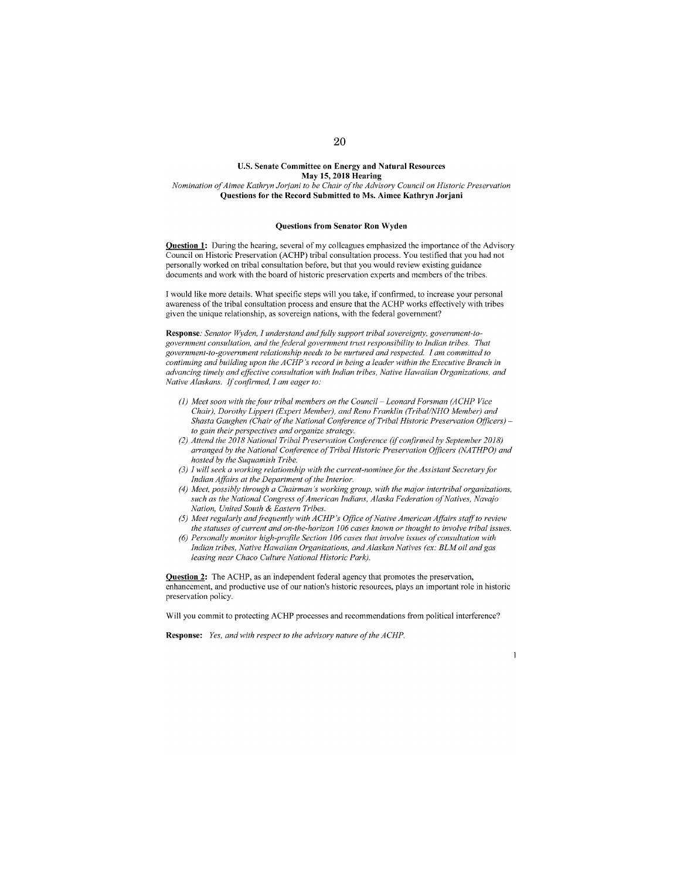#### **U.S. Senate Committee on Energy and Natural Resources May 15,2018 Hearing**  *Nomination of Aimee Kathryn Jorjani to be Chair of the Advisory Council on Historic Preservation*

**Questions for the Record Submitted to Ms. Aimee Kathryn Jorjani** 

#### **Questions from Senator Ron Wyden**

**Question 1:** During the hearing, several of my colleagues emphasized the importance of the Advisory Council on Historic Preservation (ACHP) tribal consultation process. You testified that you had not personally worked on tribal consultation before, but that you would review existing guidance documents and work with the board of historic preservation experts and members of the tribes.

I would like more details. What specific steps will you take, if confirmed, to increase your personal awareness of the tribal consultation process and ensure that the ACHP works effectively with tribes given the unique relationship, as sovereign nations, with the federal govemment?

**Response:** *Senator Wyden. I understand and fully support tribal sovereignty, government-togovernment consultation, and thefederal government trust responsibility to Indian tribes. That government-to-government relationship needs to be nurtured and respected. I am committed to continuing and building upon the ACHP 's record in being a leader within the Executive Branch in advancing timely and effective consultation with Indian tribes, Native Hawaiian Organizations, and Native Alaskans. If confirmed, I am eager to:* 

- (!) *Meet soon with the four tribal members on the Council- Leonard Forsman (ACHP Vice Chair), Dorothy Lippert (Expert Member), and Reno Franklin (Tribal/NHO Member) and Shasta Gaughen (Chair of the National Conference of Tribal Historic Preservation Officers)* to gain their perspectives and organize strategy.
- *(2} Attend the 20I8 National Tribal Preservation Conference (if confirmed by September 2018) arranged by the National Conference of Tribal Historic Preservation ()fficers (NATHPO) and hosted by the Suquamish Tribe.*
- *(3) I will seek a working relationship with the current-nominee for the Assistant Secretary for Indian Affairs at the Department of the Interior.*
- *(4) Meet, possibly through a Chairman's working group, with the major intertribal organizations,*  such as the National Congress of American Indians, Alaska Federation of Natives, Navajo *Nation, United South* & *Eastern Tribes.*
- *(5} Meet regular(y andfrequently with ACHP's Office of Native American Affairs staff to review the statuses of current and on-the-horizon I 06 cases known or thought to involve tribal issues.*
- *(6) Personally monitor high-profile Section I 06 cases that involve issues of consultation with Indian tribes, Native Hawaiian Organizations, and Alaskan Natives (ex: BLM oil and gas leasing near Chaco Culture National Historic Park).*

**Question 2:** The **ACHP,** as an independent federal agency that promotes the preservation, enhancement, and productive use of our nation's historic resources, plays an important role in historic preservation policy.

Will you commit to protecting **ACHP** processes and recommendations trom political interference?

**Response:** *Yes, and with respect to the advisory nature of the ACHP.*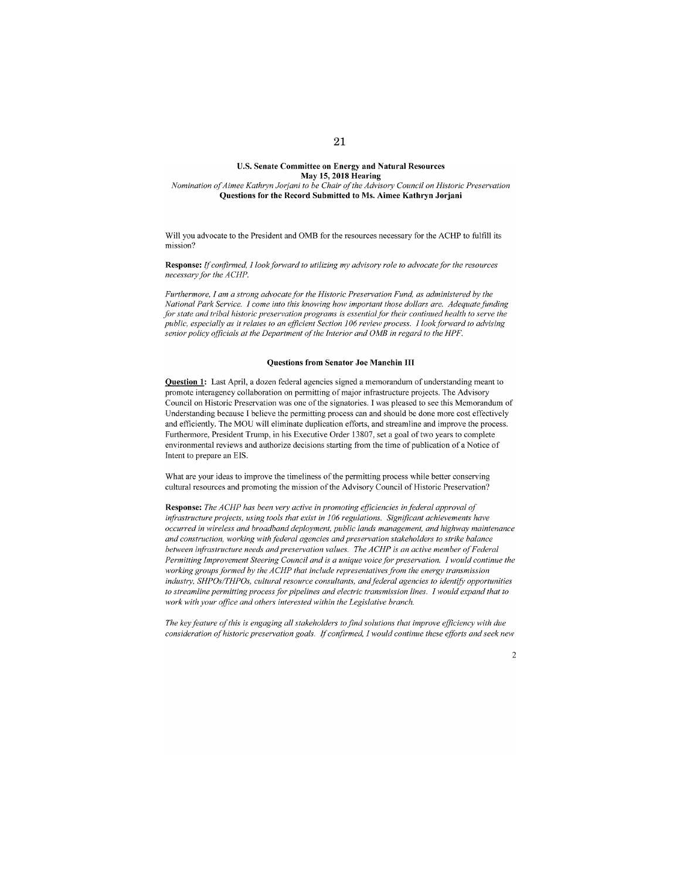#### **U.S. Senate Committee on Energy and Natural Resources May 15, 2018 Hearing**  *Nomination of Aimee Kathryn Jorjani to be Chair of the Advisory Council on Historic Preservation*

#### **Questions for the Record Submitted to Ms. Aimee Kathryn Jorjani**

Will you advocate to the President and OMB for the resources necessary for the ACHP to fulfill its mission?

**Response:** *If confirmed. I look forward to utilizing my advismy role to advocate for the resources necessary for the ACHP.* 

*Furthermore, I am a strong advocate for the Historic Preservation Fund, as administered by the National Park Service. I come into this knowing how important those dollars are. Adequate funding for state and tribal historic preservation programs is essential for their continued health to serve the public, especially as it relates to an efficient Section 106 review process. I look forward to advising senior policy officials at the Department of the Interior and OMB in regard to the HPF.* 

#### **Questions from Senator Joe Manchin Ill**

**Question 1:** Last April, a dozen federal agencies signed a memorandum of understanding meant to promote interagency collaboration on permitting of major infrastructure projects. The Advisory Council on Historic Preservation was one of the signatories. I was pleased to see this Memorandum of Understanding because I believe the permitting process can and should be done more cost effectively and efficiently. The MOU will eliminate duplication efforts, and streamline and improve the process. Furthermore, President Trump, in his Executive Order 13807, set a goal of two years to complete environmental reviews and authorize decisions starting from the time of publication of a Notice of Intent to prepare an EIS.

What are your ideas to improve the timeliness of the permitting process while better conserving cultural resources and promoting the mission of the Advisory Council of Historic Preservation?

**Response:** *The ACHP has been very active in promoting efficiencies in federal approval of infrastructure projects, using tools that exist in 106 regulations. Significant achievements have occurred in wireless and broadband deployment, public* land.~ *management, and highway maintenance and construction, working with federal agencies and preservation stakeholders to strike balance between infrastructure needs and preservation values. The ACHP* is *an active member of Federal Permitting Improvement Steering Council and is a unique voice for preservation. I would continue the*  working groups formed by the ACHP that include representatives from the energy transmission industry, SHPOs/THPOs, cultural resource consultants, and federal agencies to identify opportunities *to streamline permitting process for pipelines and electric transmission lines. I would expand that to work with your office and others interested within the Legislative branch.* 

*The key feature of this* is *engaging all stakeholders tofind solutions that improve efficiency with due consideration of historic preservation goals. If confirmed, I would continue these efforts and seek new*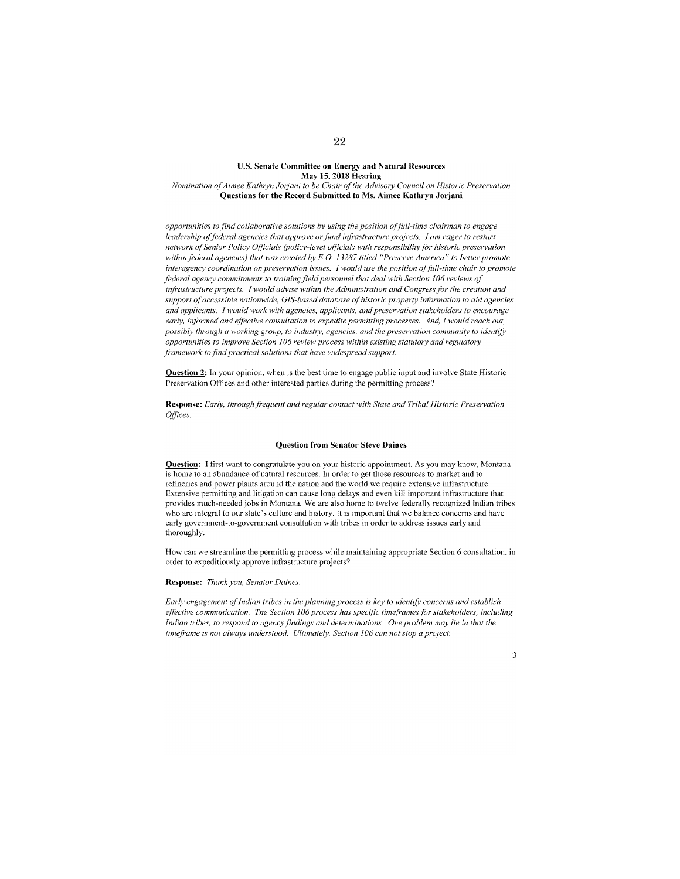#### **U.S. Senate Committee on Energy and Natural Resources May 15, 2018 Hearing**  *Nomination of Aimee Kathryn Jorjani to be Chair of the Advisory Council on Historic Preservation* **Questions for the Record Submitted to Ms. Aimee Kathryn Jorjani**

*opportunities to find collaborative solutions by using the position offi.lil-time chairman to engage*  leadership of federal agencies that approve or fund infrastructure projects. I am eager to restart *network of Senior Policy Officials (policy-level officials with responsibility for historic preservation within federal agencies) that was created by E.G. 13287 titled "Preserve America" to better promote interagency coordination on preservation issues. I would use the position offull-time chair to promote federal agency commitments to training field personnel that deal with Section 106 reviews of infrastructure projects. I would advise within the Administration and Congress for the creation and support of accessible nationwide, GIS-based database of historic property information to aid agencies and applicants. I would work with agencies, applicants, and preservation stakeholders to encourage*  early, informed and effective consultation to expedite permitting processes. And, I would reach out, possibly through a working group, to industry, agencies, and the preservation community to identify *opportunities to improve Section 106 review process within existing statutory and regulatory Famework to find practical solutions that have widespread support.* 

**Question 2:** In your opinion, when is the best time to engage public input and involve State Historic Preservation Offices and other interested parties during the permitting process?

Response: Early, *through frequent and regular contact with State and Tribal Historic Preservation Offices.* 

#### **Question from Senator Steve Daines**

**Question:** I first want to congratulate you on your historic appointment. As you may know, Montana is home to an abundance of natural resources. In order to get those resources to market and to refineries and power plants around the nation and the world we require extensive infrastructure. Extensive permitting and litigation can cause long delays and even kill important infrastructure that provides much-needed jobs in Montana. We are also home to twelve federally recognized Indian tribes who are integral to our state's culture and history. It is important that we balance concerns and have early government-to-govemment consultation with tribes in order to address issues early and thoroughly.

How can we streamline the permitting process while maintaining appropriate Section 6 consultation, in order to expeditiously approve infrastructure projects?

**Response:** *Thank you, Senator Daines.* 

*Early engagement of Indian tribes in the planning process is key to identify concerns and establish* effective communication. The Section 106 process has specific timeframes for stakeholders, including *Indian tribes, to respond to agency findings and determinations. One problem may lie in that the timeFame is not always understood. Ultimatelv. Section I 06 can not stop a project.*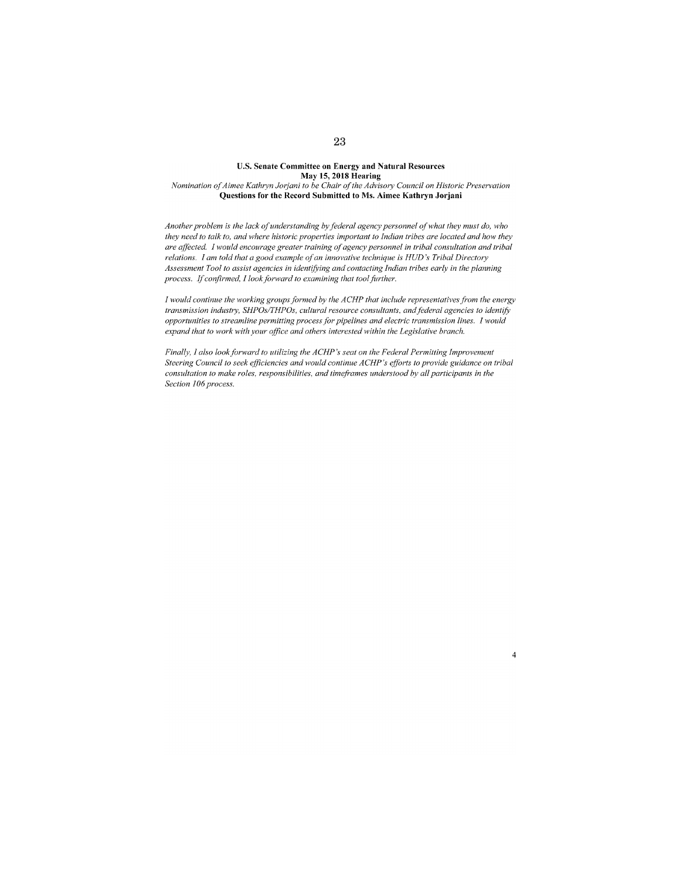#### **U.S. Senate Committee on Energy and Natural Resources May 15,2018 Hearing**  *Nomination t<f Aimee Kathrrn Jorjani to be Chair of the Advisory Council on Historic Preservation*  **Questions for the Record Submitted to Ms. Aimee Kathryn Jorjani**

*Another problem is the lack of understanding by federal agency personnel qf what they must do, who they need to talk to. and where historic properties important to Indian tribes are located and how they are affected. I would encourage greater training of agency personnel in tribal consultation and tribal relations. I am told that a good example of an innovative technique is HUD's Tribal Directory Assessment Tool to assist agencies in identifying and contacting Indian tribes early in the planning process. If confirmed, I look forward to examining that tool further.* 

*I would continue the working groups formed by the ACHP that include representatives from the energy transmission industry, SHPOs/THPOs. cultural resource consultants, andfederal agencies to identify opportunities to streamline permitting process for pipelines and electric transmission lines. I would expand that to work with your office and others interested within the Legislative branch.* 

*Finally, I also look forward to utilizing the ACHP's seat on the Federal Permitting Improvement Steering Council to seek efficiencies and would continue ACHP's efforts to provide guidance on tribal consultation to make roles. responsibilities, and timeframes understood by all participants in the Section 106 process.* 

4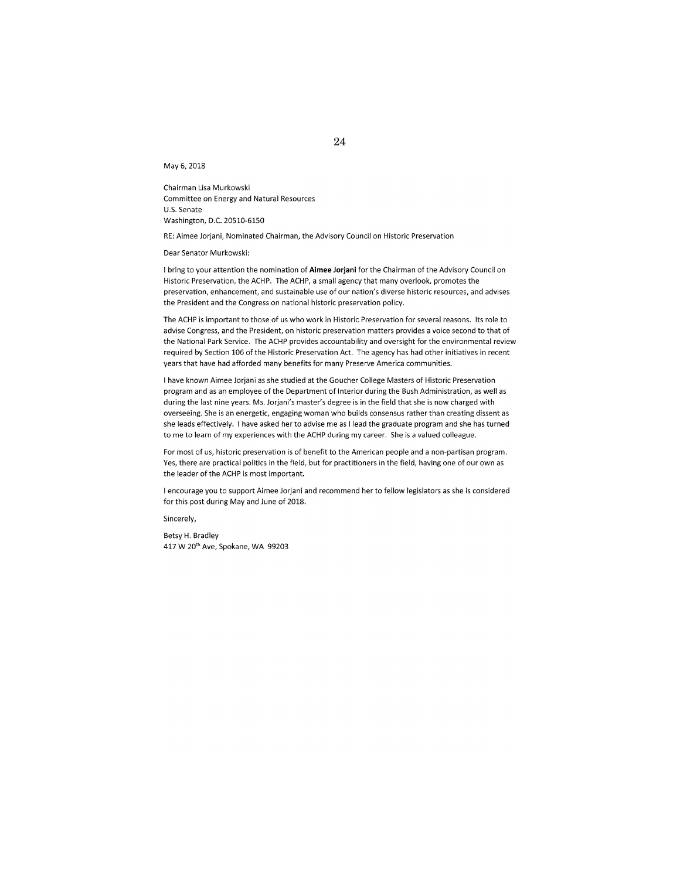May 6, 2018

Chairman Lisa Murkowski Committee on Energy and Natural Resources U.S. Senate Washington, D.C. 20510-6150

RE: Aimee Jorjani, Nominated Chairman, the Advisory Council on Historic Preservation

Dear Senator Murkowski:

I bring to your attention the nomination of **Aimee Jorjani** for the Chairman of the Advisory Council on Historic Preservation, the ACHP. The ACHP, a small agency that many overlook, promotes the preservation, enhancement, and sustainable use of our nation's diverse historic resources, and advises the President and the Congress on national historic preservation policy.

The ACHP is important to those of us who work in Historic Preservation for several reasons. Its role to advise Congress, and the President, on historic preservation matters provides a voice second to that of the National Park Service. The ACHP provides accountability and oversight for the environmental review required by Section 106 of the Historic Preservation Act. The agency has had other initiatives in recent years that have had afforded many benefits for many Preserve America communities.

I have known Aimee Jorjani as she studied at the Goucher College Masters of Historic Preservation program and as an employee of the Department of Interior during the Bush Administration, as well as during the last nine years. Ms. Jorjani's master's degree is in the field that she is now charged with overseeing. She is an energetic, engaging woman who builds consensus rather than creating dissent as she leads effectively. I have asked her to advise me as I lead the graduate program and she has turned to me to learn of my experiences with the ACHP during my career. She is a valued colleague.

For most of us, historic preservation is of benefit to the American people and a non-partisan program. Yes, there are practical politics in the field, but for practitioners in the field, having one of our own as the leader of the ACHP is most important.

I encourage you to support Aimee Jorjani and recommend her to fellow legislators as she is considered for this post during May and June of 2018.

Sincerely,

Betsy H. Bradley 417 W 20'h Ave, Spokane, WA 99203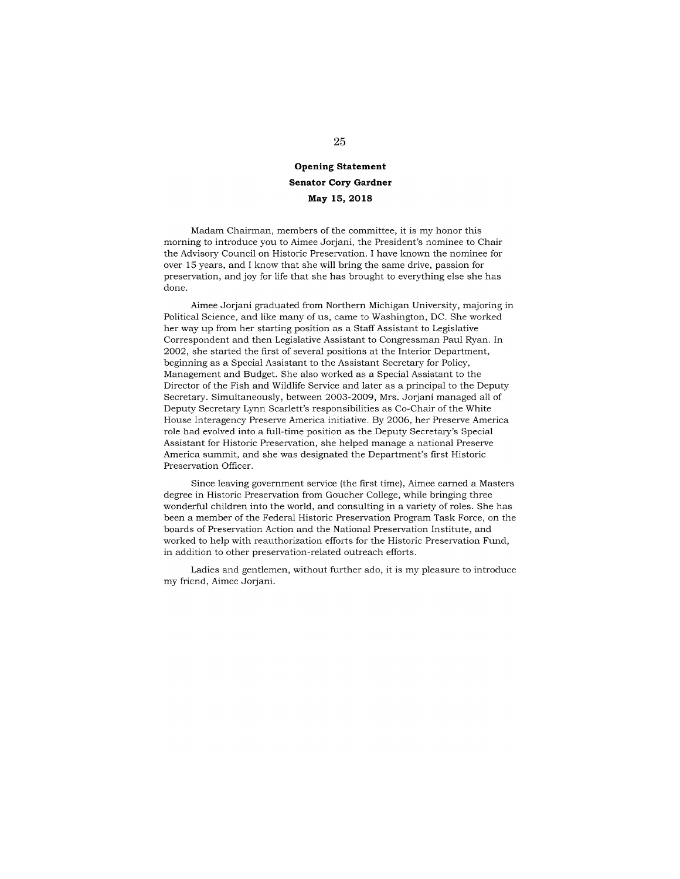## **Opening Statement Senator Cory Gardner May 15,2018**

Madam Chairman, members of the committee, it is my honor this morning to introduce you to Aimee Jorjani, the President's nominee to Chair the Advisory Council on Historic Preservation. I have known the nominee for over 15 years, and I know that she will bring the same drive, passion for preservation, and joy for life that she has brought to everything else she has done.

Aimee Jorjani graduated from Northern Michigan University, majoring in Political Science, and like many of us, came to Washington, DC. She worked her way up from her starting position as a Staff Assistant to Legislative Correspondent and then Legislative Assistant to Congressman Paul Ryan. In 2002, she started the first of several positions at the Interior Department, beginning as a Special Assistant to the Assistant Secretary for Policy, Management and Budget. She also worked as a Special Assistant to the Director of the Fish and Wildlife Service and later as a principal to the Deputy Secretary. Simultaneously, between 2003-2009, Mrs. Jorjani managed all of Deputy Secretary Lynn Scarlett's responsibilities as Co-Chair of the White House Interagency Preserve America initiative. By 2006, her Preserve America role had evolved into a full-time position as the Deputy Secretary's Special Assistant for Historic Preservation, she helped manage a national Preserve America summit, and she was designated the Department's first Historic Preservation Officer.

Since leaving government service (the first time), Aimee earned a Masters degree in Historic Preservation from Goucher College, while bringing three wonderful children into the world, and consulting in a variety of roles. She has been a member of the Federal Historic Preservation Program Task Force, on the boards of Preservation Action and the National Preservation Institute, and worked to help with reauthorization efforts for the Historic Preservation Fund, in addition to other preservation-related outreach efforts.

Ladies and gentlemen, without further ado, it is my pleasure to introduce my friend, Aimee Jorjani.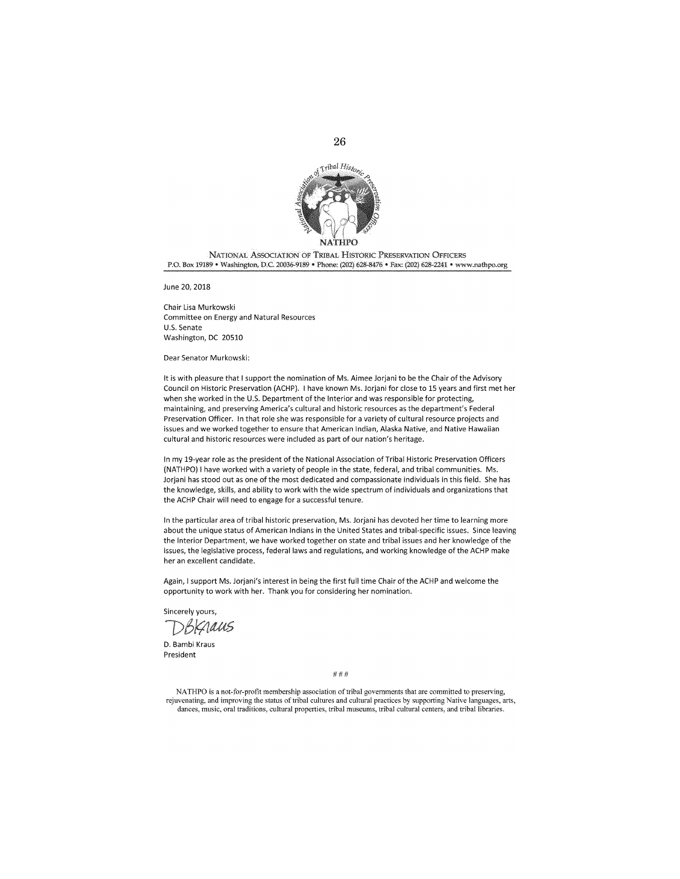

26

NATIONAL ASSOCIATION OF TR!6AL HISTORIC PRESERVATION OFFICERS P.O. Box 19189 • Washington, D.C. 20036-9189 • Phone: (202) 628-8476 • Fax: (202) 628-2241 • www.nathpo.org

June 20, 2018

Chair lisa Murkowski Committee on Energy and Natural Resources U.S. Senate Washington, DC 20510

Dear Senator Murkowski:

It is with pleasure that I support the nomination of Ms. Aimee Jorjani to be the Chair of the Advisory Council on Historic Preservation (ACHP). I have known Ms. Jorjani for close to 15 years and first met her when she worked in the U.S. Department of the Interior and was responsible for protecting, maintaining, and preserving America's cultural and historic resources as the department's Federal Preservation Officer. In that role she was responsible for a variety of cultural resource projects and issues and we worked together to ensure that American Indian, Alaska Native, and Native Hawaiian cultural and historic resources were included as part of our nation's heritage.

In my 19-year role as the president of the National Association of Tribal Historic Preservation Officers (NATHPO) I have worked with a variety of people in the state, federal, and tribal communities. Ms. Jorjani has stood out as one of the most dedicated and compassionate individuals in this field. She has the knowledge, skills, and ability to work with the wide spectrum of individuals and organizations that the ACHP Chair will need to engage for a successful tenure.

In the particular area of tribal historic preservation, Ms. Jorjani has devoted her time to learning more about the unique status of American Indians in the United States and tribal-specific issues. Since leaving the Interior Department, we have worked together on state and tribal issues and her knowledge of the issues, the legislative process, federal laws and regulations, and working knowledge of the ACHP make her an excellent candidate.

Again, I support Ms. Jorjani's interest in being the first full time Chair of the ACHP and welcome the opportunity to work with her. Thank you for considering her nomination.

Sincerely yours,

BRAaus

D. Bambi Kraus President

###

NA THPO is a not-for-protit membership association of tribal governments that are committed to preserving, rejuvenating, and improving the status of tribal cultures and cultural practices by supporting Native languages, arts, **dances, music, oral traditions, cultural properties, tribal museums, tribal cultural centers, and tribal libraries.**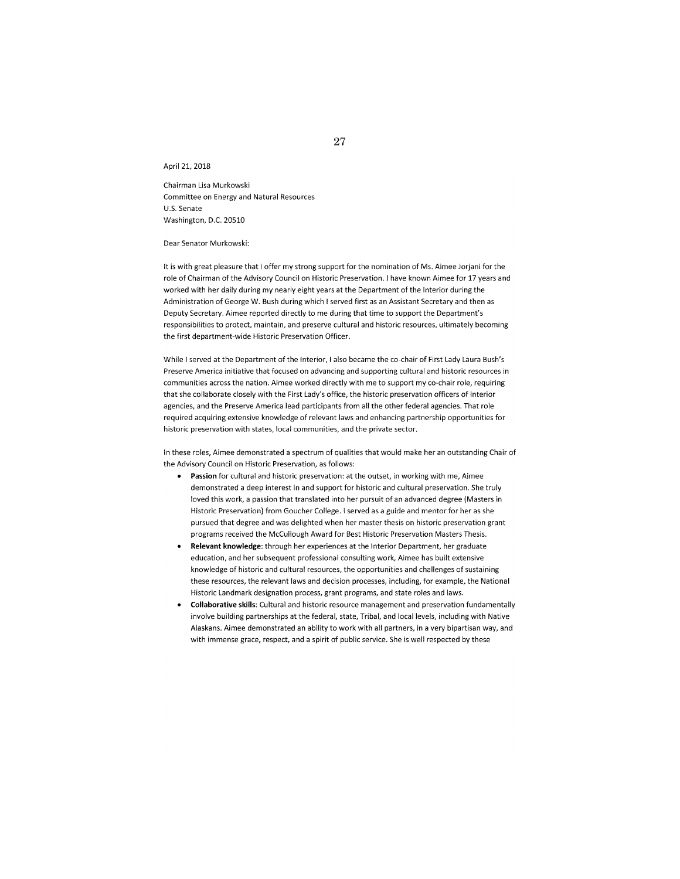April 21, 2018

Chairman Lisa Murkowski Committee on Energy and Natural Resources U.S. Senate Washington, D.C. 20510

Dear Senator Murkowski:

It is with great pleasure that I offer my strong support for the nomination of Ms. Aimee Jorjani for the role of Chairman of the Advisory Council on Historic Preservation. I have known Aimee for 17 years and worked with her daily during my nearly eight years at the Department of the Interior during the Administration of George W. Bush during which I served first as an Assistant Secretary and then as Deputy Secretary. Aimee reported directly to me during that time to support the Department's responsibilities to protect, maintain, and preserve cultural and historic resources, ultimately becoming the first department-wide Historic Preservation Officer.

While I served at the Department of the Interior, I also became the co-chair of First Lady Laura Bush's Preserve America initiative that focused on advancing and supporting cultural and historic resources in communities across the nation. Aimee worked directly with me to support my co-chair role, requiring that she collaborate closely with the First Lady's office, the historic preservation officers of Interior agencies, and the Preserve America lead participants from all the other federal agencies. That role required acquiring extensive knowledge of relevant laws and enhancing partnership opportunities for historic preservation with states, local communities, and the private sector.

In these roles, Aimee demonstrated a spectrum of qualities that would make her an outstanding Chair of the Advisory Council on Historic Preservation, as follows:

- **Passion** for cultural and historic preservation: at the outset, in working with me, Aimee demonstrated a deep interest in and support for historic and cultural preservation. She truly loved this work, a passion that translated into her pursuit of an advanced degree (Masters in Historic Preservation) from Goucher College. I served as a guide and mentor for her as she pursued that degree and was delighted when her master thesis on historic preservation grant programs received the McCullough Award for Best Historic Preservation Masters Thesis.
- **Relevant knowledge:** through her experiences at the Interior Department, her graduate education, and her subsequent professional consulting work, Aimee has built extensive knowledge of historic and cultural resources, the opportunities and challenges of sustaining these resources, the relevant laws and decision processes, including, for example, the National Historic Landmark designation process, grant programs, and state roles and laws.
- **Collaborative skills:** Cultural and historic resource management and preservation fundamentally involve building partnerships at the federal, state, Tribal, and local levels, including with Native Alaskans. Aimee demonstrated an ability to work with all partners, in a very bipartisan way, and with immense grace, respect, and a spirit of public service. She is well respected by these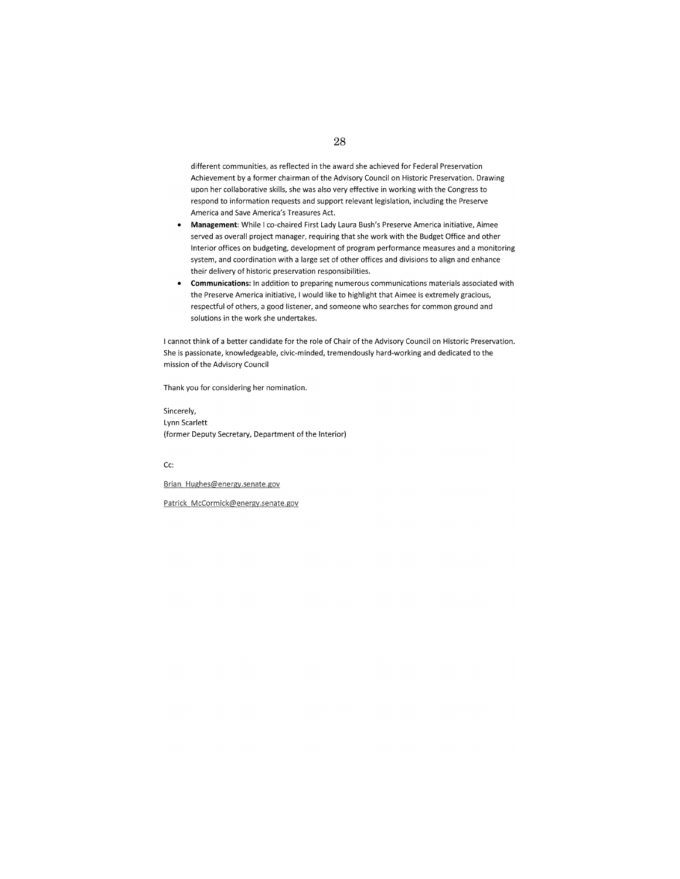different communities, as reflected in the award she achieved for Federal Preservation Achievement by a former chairman of the Advisory Council on Historic Preservation. Drawing upon her collaborative skills, she was also very effective in working with the Congress to respond to information requests and support relevant legislation, including the Preserve America and Save America's Treasures Act.

- **Management:** While I co-chaired First Lady Laura Bush's Preserve America initiative, Aimee served as overall project manager, requiring that she work with the Budget Office and other Interior offices on budgeting, development of program performance measures and a monitoring system, and coordination with a large set of other offices and divisions to align and enhance their delivery of historic preservation responsibilities.
- **Communications:** In addition to preparing numerous communications materials associated with the Preserve America initiative, I would like to highlight that Aimee is extremely gracious, respectful of others, a good listener, and someone who searches for common ground and solutions in the work she undertakes.

I cannot think of a better candidate for the role of Chair of the Advisory Council on Historic Preservation. She is passionate, knowledgeable, civic-minded, tremendously hard-working and dedicated to the mission of the Advisory Council

Thank you for considering her nomination.

Sincerely, Lynn Scarlett (former Deputy Secretary, Department of the Interior)

Cc:

Brian Hughes@energy.senate.gov

Patrick McCormick@energy.senate.gov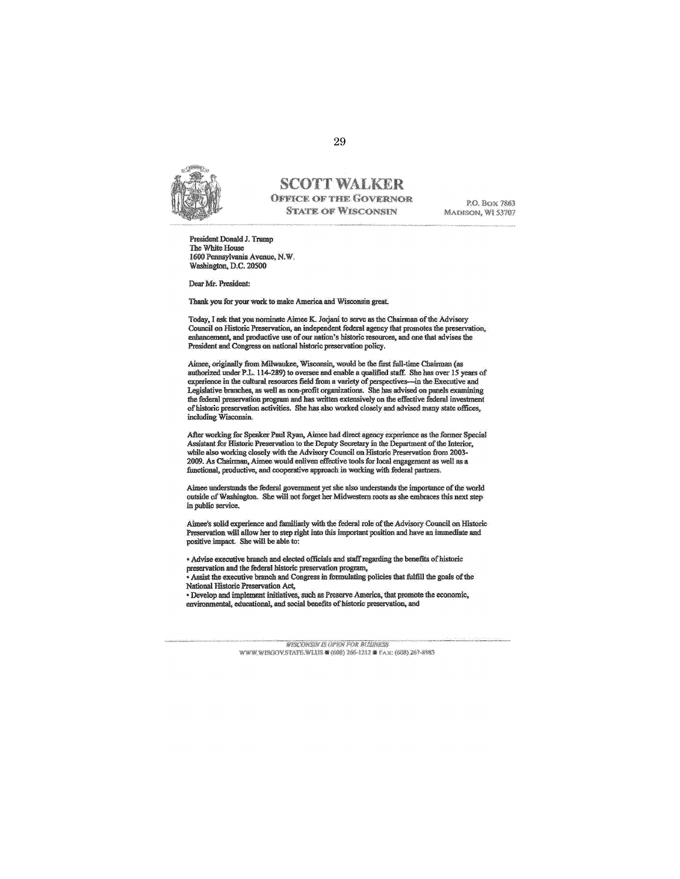

#### **SCOTT WALKER OFFICE OF THE GOVERNOR STATE OF WISCONSIN**

P.O. BOX 7863 MADISON, WI 53707

President Donald J. Tmmp The White House<br>1600 Pennsylvania Avenue, N.W. Washington, D.C. 20500

Dear Mr. President:

Thank you for your work to make America and Wisconsin great.

Today, I ask that you nominate Aimee K. Jorjani to serve as the Chairman of the Advisory Council on Historic Preservation, an independent federal agency that promotes the preservation, enhancement, and productive use of our nation's historic resources, and one that advises the President and Congress on national historic preservation policy.

Aimee, originally from Milwaukee, Wisconsin, would be the first full-time Chairman (as authorized under P.L. 114-289) to oversee and enable a qualified staff. She has over 15 years of experience in the cultural resources field from a variety of perspectives-in the Executive and Legislative branches, as well as non-profit organizations. She has advised on panels examining the federal preservation program and has written extensively on the effective federal investment of historic preservation activities. She has also worked closely and advised many state offices, including Wisconsin.

After working for Speaker Paul Ryan, Aimee had direct agency experience as the former Special Assistant for Historic Preservation to the Deputy Secretary in the Department of the Interior, while also working closely with the Advisory Council on Historic Preservation from 2003-2009. As Chairman, Aimee would enliven effective tools for local engagement as well as a functional, productive, and cooperative approach in working with federal partners.

Aimee understands the federal government yet she also understan<br>outside of Washington. She will not forget her Midwestern roots in public servioe.

Aimee's solid experience and familiarly with the federal role of the Advisory Council on Historic Preservation will allow her to step right into this important position and have an immediate and positive impact. She will be able to:

• Advise executive branch and elected officials and staff regarding the benefits of historic preservation and the federal historic preservation program,

- Assist the executive branch and Congress in formulating policies that fulfill the goals of the National Historic Preservation Act,

· Develop and implement initiatives, such as Preserve America, that promote the economic, environmental, educational, and social benefits of historic preservation, and